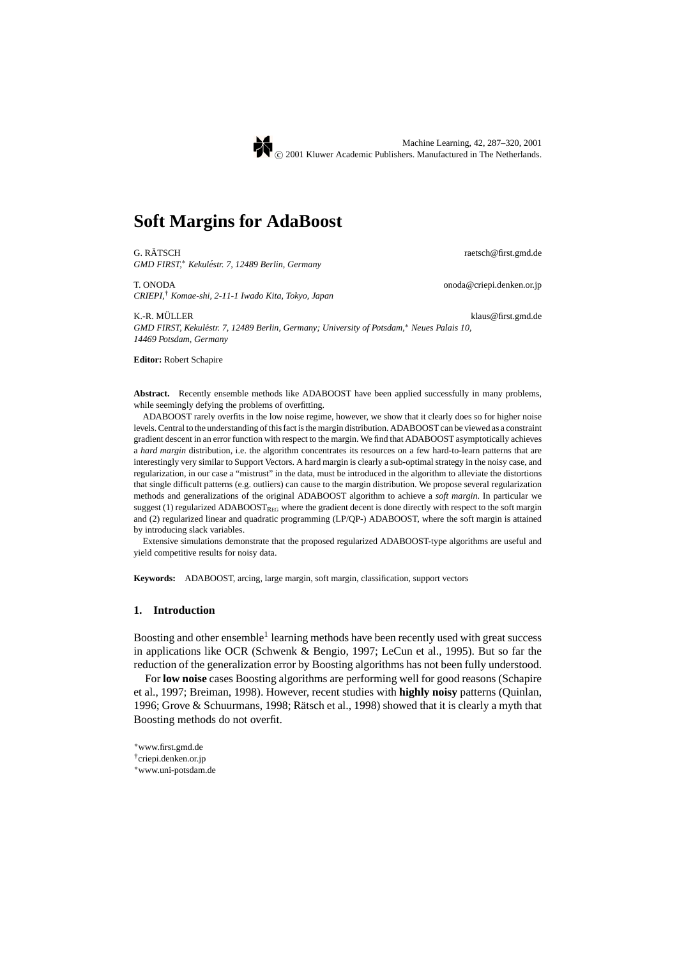# **Soft Margins for AdaBoost**

G. RÄTSCH raetsch@first.gmd.de *GMD FIRST,*<sup>∗</sup> *Kekulestr. 7, 12489 Berlin, Germany ´*

T. ONODA onoda@criepi.denken.or.jp *CRIEPI,*† *Komae-shi, 2-11-1 Iwado Kita, Tokyo, Japan*

K.-R. MÜLLER klaus@first.gmd.de

*GMD FIRST, Kekulestr. 7, 12489 Berlin, Germany; University of Potsdam, ´* <sup>∗</sup> *Neues Palais 10, 14469 Potsdam, Germany*

**Editor:** Robert Schapire

Abstract. Recently ensemble methods like ADABOOST have been applied successfully in many problems, while seemingly defying the problems of overfitting.

ADABOOST rarely overfits in the low noise regime, however, we show that it clearly does so for higher noise levels. Central to the understanding of this fact is the margin distribution. ADABOOST can be viewed as a constraint gradient descent in an error function with respect to the margin. We find that ADABOOST asymptotically achieves a *hard margin* distribution, i.e. the algorithm concentrates its resources on a few hard-to-learn patterns that are interestingly very similar to Support Vectors. A hard margin is clearly a sub-optimal strategy in the noisy case, and regularization, in our case a "mistrust" in the data, must be introduced in the algorithm to alleviate the distortions that single difficult patterns (e.g. outliers) can cause to the margin distribution. We propose several regularization methods and generalizations of the original ADABOOST algorithm to achieve a *soft margin*. In particular we suggest (1) regularized  $ADABOOST_{REG}$  where the gradient decent is done directly with respect to the soft margin and (2) regularized linear and quadratic programming (LP/QP-) ADABOOST, where the soft margin is attained by introducing slack variables.

Extensive simulations demonstrate that the proposed regularized ADABOOST-type algorithms are useful and yield competitive results for noisy data.

**Keywords:** ADABOOST, arcing, large margin, soft margin, classification, support vectors

## **1. Introduction**

Boosting and other ensemble<sup>1</sup> learning methods have been recently used with great success in applications like OCR (Schwenk & Bengio, 1997; LeCun et al., 1995). But so far the reduction of the generalization error by Boosting algorithms has not been fully understood.

For **low noise** cases Boosting algorithms are performing well for good reasons (Schapire et al., 1997; Breiman, 1998). However, recent studies with **highly noisy** patterns (Quinlan, 1996; Grove  $&$  Schuurmans, 1998; Rätsch et al., 1998) showed that it is clearly a myth that Boosting methods do not overfit.

- <sup>∗</sup>www.first.gmd.de †criepi.denken.or.jp
- <sup>∗</sup>www.uni-potsdam.de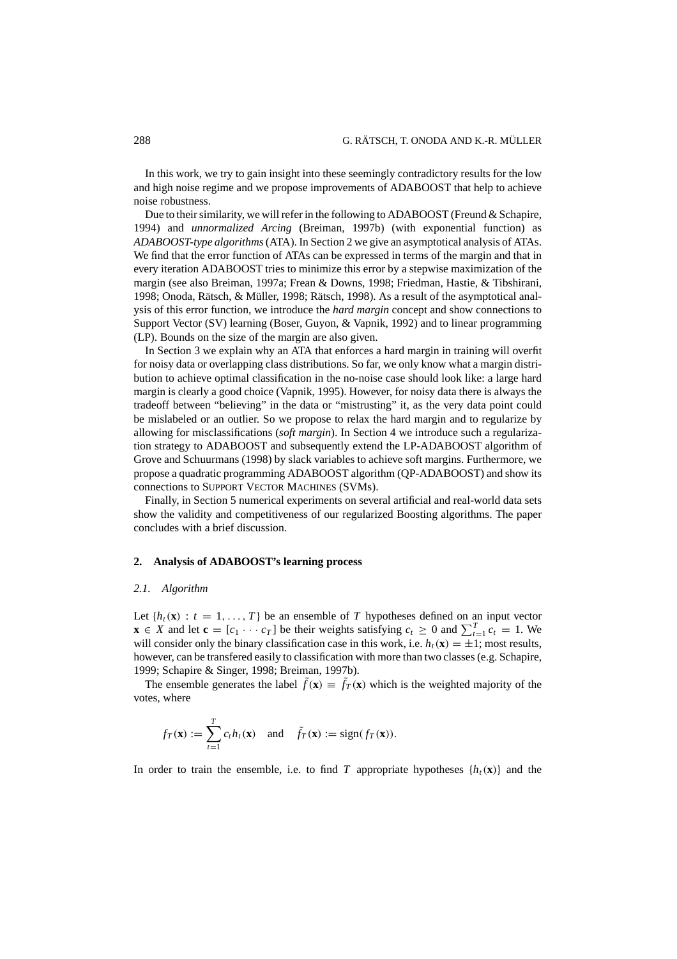In this work, we try to gain insight into these seemingly contradictory results for the low and high noise regime and we propose improvements of ADABOOST that help to achieve noise robustness.

Due to their similarity, we will refer in the following to ADABOOST (Freund & Schapire, 1994) and *unnormalized Arcing* (Breiman, 1997b) (with exponential function) as *ADABOOST-type algorithms*(ATA). In Section 2 we give an asymptotical analysis of ATAs. We find that the error function of ATAs can be expressed in terms of the margin and that in every iteration ADABOOST tries to minimize this error by a stepwise maximization of the margin (see also Breiman, 1997a; Frean & Downs, 1998; Friedman, Hastie, & Tibshirani, 1998; Onoda, Rätsch, & Müller, 1998; Rätsch, 1998). As a result of the asymptotical analysis of this error function, we introduce the *hard margin* concept and show connections to Support Vector (SV) learning (Boser, Guyon, & Vapnik, 1992) and to linear programming (LP). Bounds on the size of the margin are also given.

In Section 3 we explain why an ATA that enforces a hard margin in training will overfit for noisy data or overlapping class distributions. So far, we only know what a margin distribution to achieve optimal classification in the no-noise case should look like: a large hard margin is clearly a good choice (Vapnik, 1995). However, for noisy data there is always the tradeoff between "believing" in the data or "mistrusting" it, as the very data point could be mislabeled or an outlier. So we propose to relax the hard margin and to regularize by allowing for misclassifications (*soft margin*). In Section 4 we introduce such a regularization strategy to ADABOOST and subsequently extend the LP-ADABOOST algorithm of Grove and Schuurmans (1998) by slack variables to achieve soft margins. Furthermore, we propose a quadratic programming ADABOOST algorithm (QP-ADABOOST) and show its connections to SUPPORT VECTOR MACHINES (SVMs).

Finally, in Section 5 numerical experiments on several artificial and real-world data sets show the validity and competitiveness of our regularized Boosting algorithms. The paper concludes with a brief discussion.

#### **2. Analysis of ADABOOST's learning process**

## *2.1. Algorithm*

Let  $\{h_t(\mathbf{x}) : t = 1, ..., T\}$  be an ensemble of *T* hypotheses defined on an input vector **x** ∈ *X* and let **c** =  $[c_1 \cdots c_T]$  be their weights satisfying  $c_t \ge 0$  and  $\sum_{t=1}^T c_t = 1$ . We will consider only the binary classification case in this work, i.e.  $h_t(\mathbf{x}) = \pm 1$ ; most results, however, can be transfered easily to classification with more than two classes (e.g. Schapire, 1999; Schapire & Singer, 1998; Breiman, 1997b).

The ensemble generates the label  $\tilde{f}(\mathbf{x}) \equiv \tilde{f}_T(\mathbf{x})$  which is the weighted majority of the votes, where

$$
f_T(\mathbf{x}) := \sum_{t=1}^T c_t h_t(\mathbf{x})
$$
 and  $\tilde{f}_T(\mathbf{x}) := \text{sign}(f_T(\mathbf{x})).$ 

In order to train the ensemble, i.e. to find *T* appropriate hypotheses  $\{h_t(\mathbf{x})\}$  and the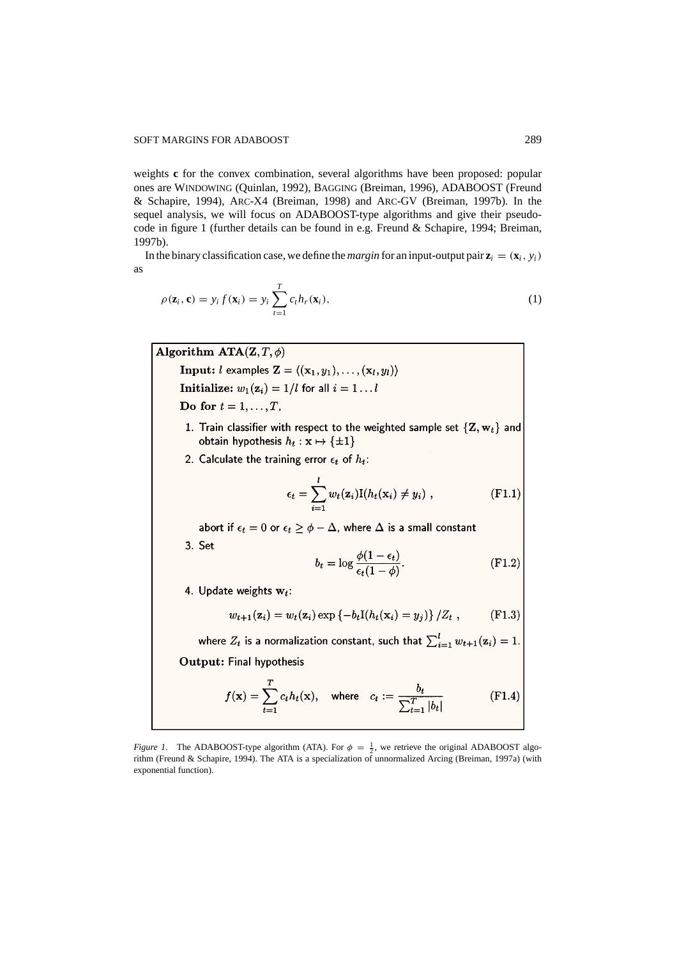weights **c** for the convex combination, several algorithms have been proposed: popular ones are WINDOWING (Quinlan, 1992), BAGGING (Breiman, 1996), ADABOOST (Freund & Schapire, 1994), ARC-X4 (Breiman, 1998) and ARC-GV (Breiman, 1997b). In the sequel analysis, we will focus on ADABOOST-type algorithms and give their pseudocode in figure 1 (further details can be found in e.g. Freund & Schapire, 1994; Breiman, 1997b).

In the binary classification case, we define the *margin* for an input-output pair  $\mathbf{z}_i = (\mathbf{x}_i, y_i)$ as

$$
\rho(\mathbf{z}_i, \mathbf{c}) = y_i f(\mathbf{x}_i) = y_i \sum_{t=1}^T c_t h_r(\mathbf{x}_i),
$$
\n(1)

Algorithm  $ATA(Z, T, \phi)$ 

**Input:** *l* examples  $\mathbf{Z} = \langle (\mathbf{x}_1, y_1), \dots, (\mathbf{x}_l, y_l) \rangle$ Initialize:  $w_1(z_i) = 1/l$  for all  $i = 1...l$ 

- Do for  $t = 1, \ldots, T$ ,
- 1. Train classifier with respect to the weighted sample set  $\{Z, w_t\}$  and obtain hypothesis  $h_t: \mathbf{x} \mapsto {\pm 1}$
- 2. Calculate the training error  $\epsilon_t$  of  $h_t$ :

$$
\epsilon_t = \sum_{i=1}^l w_t(\mathbf{z}_i) \mathbf{I}(h_t(\mathbf{x}_i) \neq y_i) , \qquad (\text{F1.1})
$$

abort if  $\epsilon_t = 0$  or  $\epsilon_t \ge \phi - \Delta$ , where  $\Delta$  is a small constant

3. Set

$$
b_t = \log \frac{\phi(1 - \epsilon_t)}{\epsilon_t (1 - \phi)}.
$$
 (F1.2)

4. Update weights  $w_t$ :

$$
w_{t+1}(\mathbf{z}_i) = w_t(\mathbf{z}_i) \exp \{-b_t I(h_t(\mathbf{x}_i) = y_j)\}/Z_t , \qquad (\text{F1.3})
$$

where  $Z_t$  is a normalization constant, such that  $\sum_{i=1}^{l} w_{t+1}(\mathbf{z}_i) = 1$ . Output: Final hypothesis

 $\overline{a}$ 

$$
f(\mathbf{x}) = \sum_{t=1}^{I} c_t h_t(\mathbf{x}), \text{ where } c_t := \frac{b_t}{\sum_{t=1}^{T} |b_t|}
$$
 (F1.4)

*Figure 1*. The ADABOOST-type algorithm (ATA). For  $\phi = \frac{1}{2}$ , we retrieve the original ADABOOST algo-<br>rithm (Freund & Schapire, 1994). The ATA is a specialization of unnormalized Arcing (Breiman, 1997a) (with exponential function).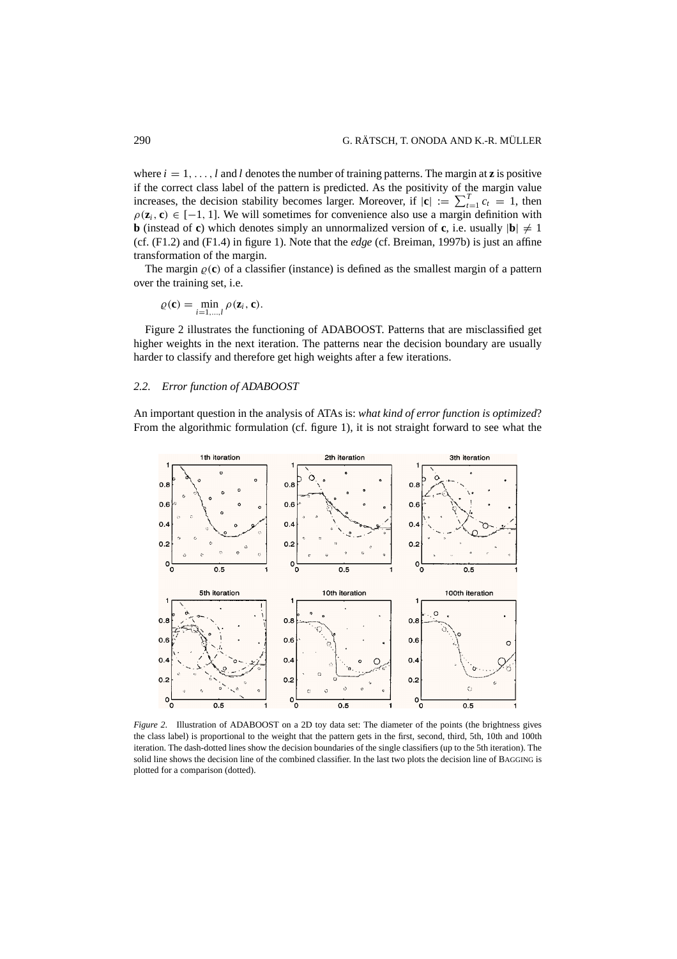where  $i = 1, \ldots, l$  and *l* denotes the number of training patterns. The margin at **z** is positive if the correct class label of the pattern is predicted. As the positivity of the margin value increases, the decision stability becomes larger. Moreover, if  $|\mathbf{c}| := \sum_{t=1}^{T} c_t = 1$ , then  $\rho(\mathbf{z}_i, \mathbf{c}) \in [-1, 1]$ . We will sometimes for convenience also use a margin definition with **b** (instead of **c**) which denotes simply an unnormalized version of **c**, i.e. usually  $|\mathbf{b}| \neq 1$ (cf. (F1.2) and (F1.4) in figure 1). Note that the *edge* (cf. Breiman, 1997b) is just an affine transformation of the margin.

The margin  $\varrho(c)$  of a classifier (instance) is defined as the smallest margin of a pattern over the training set, i.e.

$$
\varrho(\mathbf{c}) = \min_{i=1,\dots,l} \rho(\mathbf{z}_i, \mathbf{c}).
$$

Figure 2 illustrates the functioning of ADABOOST. Patterns that are misclassified get higher weights in the next iteration. The patterns near the decision boundary are usually harder to classify and therefore get high weights after a few iterations.

# *2.2. Error function of ADABOOST*

An important question in the analysis of ATAs is: *what kind of error function is optimized*? From the algorithmic formulation (cf. figure 1), it is not straight forward to see what the



*Figure 2*. Illustration of ADABOOST on a 2D toy data set: The diameter of the points (the brightness gives the class label) is proportional to the weight that the pattern gets in the first, second, third, 5th, 10th and 100th iteration. The dash-dotted lines show the decision boundaries of the single classifiers (up to the 5th iteration). The solid line shows the decision line of the combined classifier. In the last two plots the decision line of BAGGING is plotted for a comparison (dotted).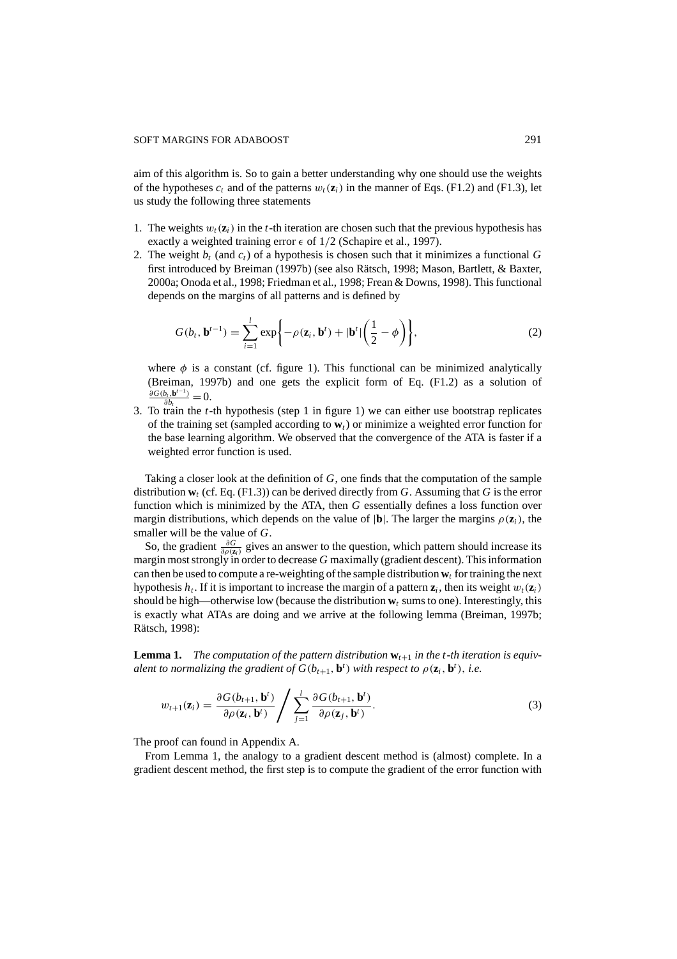aim of this algorithm is. So to gain a better understanding why one should use the weights of the hypotheses  $c_t$  and of the patterns  $w_t(\mathbf{z}_i)$  in the manner of Eqs. (F1.2) and (F1.3), let us study the following three statements

- 1. The weights  $w_t(\mathbf{z}_i)$  in the *t*-th iteration are chosen such that the previous hypothesis has exactly a weighted training error  $\epsilon$  of  $1/2$  (Schapire et al., 1997).
- 2. The weight  $b_t$  (and  $c_t$ ) of a hypothesis is chosen such that it minimizes a functional G first introduced by Breiman (1997b) (see also Rätsch, 1998; Mason, Bartlett, & Baxter, 2000a; Onoda et al., 1998; Friedman et al., 1998; Frean & Downs, 1998). This functional depends on the margins of all patterns and is defined by

$$
G(b_t, \mathbf{b}^{t-1}) = \sum_{i=1}^l \exp\bigg\{-\rho(\mathbf{z}_i, \mathbf{b}^t) + |\mathbf{b}^t| \bigg(\frac{1}{2} - \phi\bigg)\bigg\},\tag{2}
$$

where  $\phi$  is a constant (cf. figure 1). This functional can be minimized analytically (Breiman, 1997b) and one gets the explicit form of Eq. (F1.2) as a solution of  $\frac{\partial G(b_t, \mathbf{b}^{t-1})}{\partial b_t} = 0.$ 

3. To train the *t*-th hypothesis (step 1 in figure 1) we can either use bootstrap replicates of the training set (sampled according to **w***t*) or minimize a weighted error function for the base learning algorithm. We observed that the convergence of the ATA is faster if a weighted error function is used.

Taking a closer look at the definition of *G*, one finds that the computation of the sample distribution **w***<sup>t</sup>* (cf. Eq. (F1.3)) can be derived directly from *G*. Assuming that *G* is the error function which is minimized by the ATA, then *G* essentially defines a loss function over margin distributions, which depends on the value of  $|\mathbf{b}|$ . The larger the margins  $\rho(\mathbf{z}_i)$ , the smaller will be the value of *G*.

So, the gradient  $\frac{\partial G}{\partial \rho(z_i)}$  gives an answer to the question, which pattern should increase its margin most strongly in order to decrease *G* maximally (gradient descent). This information can then be used to compute a re-weighting of the sample distribution  $w_t$  for training the next hypothesis  $h_t$ . If it is important to increase the margin of a pattern  $z_i$ , then its weight  $w_t(z_i)$ should be high—otherwise low (because the distribution  $w_t$  sums to one). Interestingly, this is exactly what ATAs are doing and we arrive at the following lemma (Breiman, 1997b; Rätsch, 1998):

**Lemma 1.** The computation of the pattern distribution  $w_{t+1}$  in the t-th iteration is equiv*alent to normalizing the gradient of*  $G(b_{t+1}, \mathbf{b}^t)$  *with respect to*  $\rho(\mathbf{z}_i, \mathbf{b}^t)$ *, i.e.* 

$$
w_{t+1}(\mathbf{z}_i) = \frac{\partial G(b_{t+1}, \mathbf{b}^t)}{\partial \rho(\mathbf{z}_i, \mathbf{b}^t)} / \sum_{j=1}^l \frac{\partial G(b_{t+1}, \mathbf{b}^t)}{\partial \rho(\mathbf{z}_j, \mathbf{b}^t)}.
$$
(3)

The proof can found in Appendix A.

From Lemma 1, the analogy to a gradient descent method is (almost) complete. In a gradient descent method, the first step is to compute the gradient of the error function with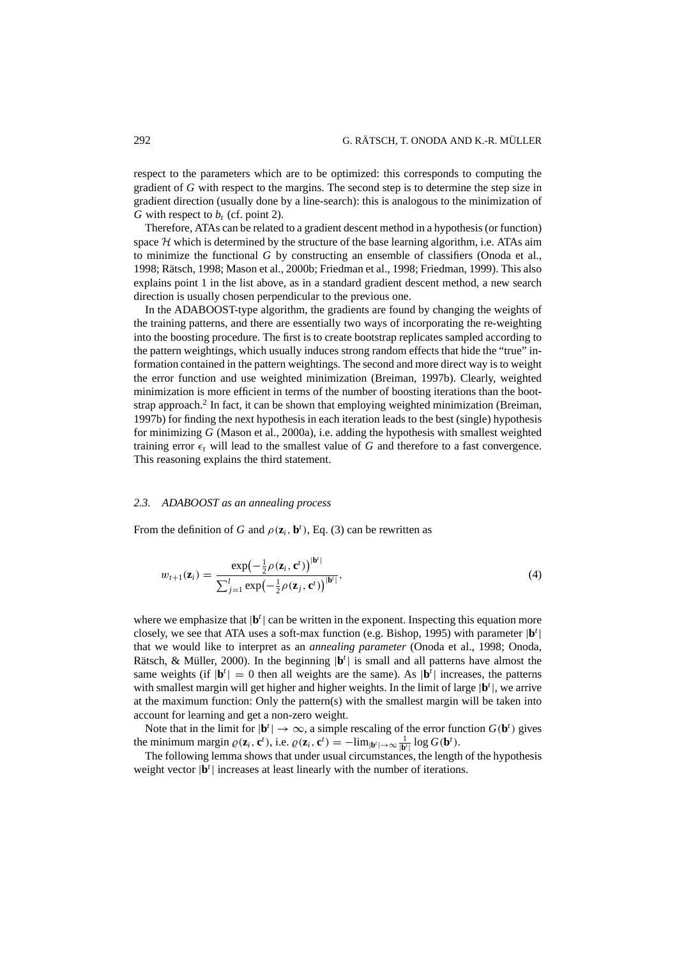respect to the parameters which are to be optimized: this corresponds to computing the gradient of *G* with respect to the margins. The second step is to determine the step size in gradient direction (usually done by a line-search): this is analogous to the minimization of *G* with respect to  $b_t$  (cf. point 2).

Therefore, ATAs can be related to a gradient descent method in a hypothesis (or function) space  $H$  which is determined by the structure of the base learning algorithm, i.e. ATAs aim to minimize the functional *G* by constructing an ensemble of classifiers (Onoda et al., 1998; Rätsch, 1998; Mason et al., 2000b; Friedman et al., 1998; Friedman, 1999). This also explains point 1 in the list above, as in a standard gradient descent method, a new search direction is usually chosen perpendicular to the previous one.

In the ADABOOST-type algorithm, the gradients are found by changing the weights of the training patterns, and there are essentially two ways of incorporating the re-weighting into the boosting procedure. The first is to create bootstrap replicates sampled according to the pattern weightings, which usually induces strong random effects that hide the "true" information contained in the pattern weightings. The second and more direct way is to weight the error function and use weighted minimization (Breiman, 1997b). Clearly, weighted minimization is more efficient in terms of the number of boosting iterations than the bootstrap approach.<sup>2</sup> In fact, it can be shown that employing weighted minimization (Breiman, 1997b) for finding the next hypothesis in each iteration leads to the best (single) hypothesis for minimizing *G* (Mason et al., 2000a), i.e. adding the hypothesis with smallest weighted training error  $\epsilon_t$  will lead to the smallest value of G and therefore to a fast convergence. This reasoning explains the third statement.

## *2.3. ADABOOST as an annealing process*

From the definition of *G* and  $\rho(\mathbf{z}_i, \mathbf{b}^t)$ , Eq. (3) can be rewritten as

$$
w_{t+1}(\mathbf{z}_i) = \frac{\exp(-\frac{1}{2}\rho(\mathbf{z}_i, \mathbf{c}^t))^{|\mathbf{b}'|}}{\sum_{j=1}^l \exp(-\frac{1}{2}\rho(\mathbf{z}_j, \mathbf{c}^t))^{|\mathbf{b}'|}},
$$
\n(4)

where we emphasize that  $|\mathbf{b}^t|$  can be written in the exponent. Inspecting this equation more closely, we see that ATA uses a soft-max function (e.g. Bishop, 1995) with parameter |**b***<sup>t</sup>* | that we would like to interpret as an *annealing parameter* (Onoda et al., 1998; Onoda, Rätsch, & Müller, 2000). In the beginning  $|\mathbf{b}^t|$  is small and all patterns have almost the same weights (if  $|\mathbf{b}^t| = 0$  then all weights are the same). As  $|\mathbf{b}^t|$  increases, the patterns with smallest margin will get higher and higher weights. In the limit of large |**b***<sup>t</sup>* |, we arrive at the maximum function: Only the pattern(s) with the smallest margin will be taken into account for learning and get a non-zero weight.

Note that in the limit for  $|\mathbf{b}^t| \to \infty$ , a simple rescaling of the error function  $G(\mathbf{b}^t)$  gives the minimum margin  $\varrho(\mathbf{z}_i, \mathbf{c}^t)$ , i.e.  $\varrho(\mathbf{z}_i, \mathbf{c}^t) = -\lim_{|\mathbf{b}^t| \to \infty} \frac{1}{|\mathbf{b}^t|} \log G(\mathbf{b}^t)$ .

The following lemma shows that under usual circumstances, the length of the hypothesis weight vector  $|\mathbf{b}^t|$  increases at least linearly with the number of iterations.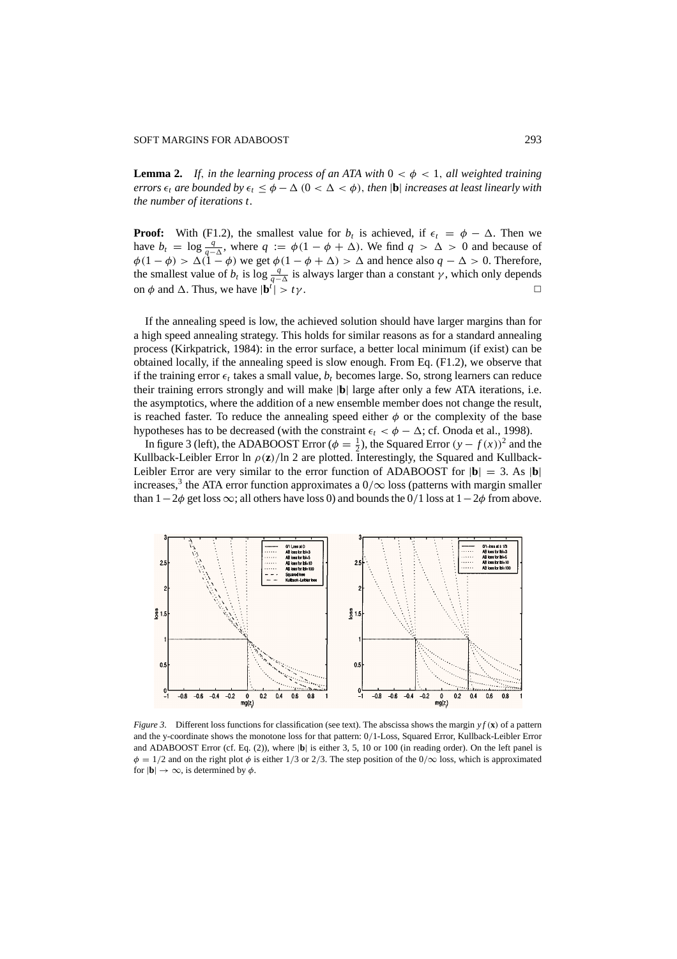#### SOFT MARGINS FOR ADABOOST 293

**Lemma 2.** If, in the learning process of an ATA with  $0 < \phi < 1$ , all weighted training *errors*  $\epsilon_t$  *are bounded by*  $\epsilon_t \leq \phi - \Delta$  (0 <  $\Delta$  <  $\phi$ ), *then* |**b**| *increases at least linearly with the number of iterations t.*

**Proof:** With (F1.2), the smallest value for  $b_t$  is achieved, if  $\epsilon_t = \phi - \Delta$ . Then we have  $b_t = \log \frac{q}{q-\Delta}$ , where  $q := \phi(1-\phi+\Delta)$ . We find  $q > \Delta > 0$  and because of  $\phi(1 - \phi) > \Delta(1 - \phi)$  we get  $\phi(1 - \phi + \Delta) > \Delta$  and hence also  $q - \Delta > 0$ . Therefore, the smallest value of  $b_t$  is log  $\frac{q}{q-\Delta}$  is always larger than a constant  $\gamma$ , which only depends on  $\phi$  and  $\Delta$ . Thus, we have  $|\mathbf{b}^i| > t\gamma$ .  $| > t\gamma$ .

If the annealing speed is low, the achieved solution should have larger margins than for a high speed annealing strategy. This holds for similar reasons as for a standard annealing process (Kirkpatrick, 1984): in the error surface, a better local minimum (if exist) can be obtained locally, if the annealing speed is slow enough. From Eq. (F1.2), we observe that if the training error  $\epsilon_t$  takes a small value,  $b_t$  becomes large. So, strong learners can reduce their training errors strongly and will make |**b**| large after only a few ATA iterations, i.e. the asymptotics, where the addition of a new ensemble member does not change the result, is reached faster. To reduce the annealing speed either  $\phi$  or the complexity of the base hypotheses has to be decreased (with the constraint  $\epsilon_t < \phi - \Delta$ ; cf. Onoda et al., 1998).

In figure 3 (left), the ADABOOST Error ( $\phi = \frac{1}{2}$ ), the Squared Error  $(y - f(x))^2$  and the Kullback-Leibler Error ln  $\rho(z)/\ln 2$  are plotted. Interestingly, the Squared and Kullback-Leibler Error are very similar to the error function of ADABOOST for  $|\mathbf{b}| = 3$ . As  $|\mathbf{b}|$ increases,<sup>3</sup> the ATA error function approximates a  $0/\infty$  loss (patterns with margin smaller than  $1-2\phi$  get loss  $\infty$ ; all others have loss 0) and bounds the 0/1 loss at  $1-2\phi$  from above.



*Figure 3*. Different loss functions for classification (see text). The abscissa shows the margin *y f* (**x**) of a pattern and the y-coordinate shows the monotone loss for that pattern: 0/1-Loss, Squared Error, Kullback-Leibler Error and ADABOOST Error (cf. Eq. (2)), where |**b**| is either 3, 5, 10 or 100 (in reading order). On the left panel is  $\phi = 1/2$  and on the right plot  $\phi$  is either 1/3 or 2/3. The step position of the 0/ $\infty$  loss, which is approximated for  $|\mathbf{b}| \to \infty$ , is determined by  $\phi$ .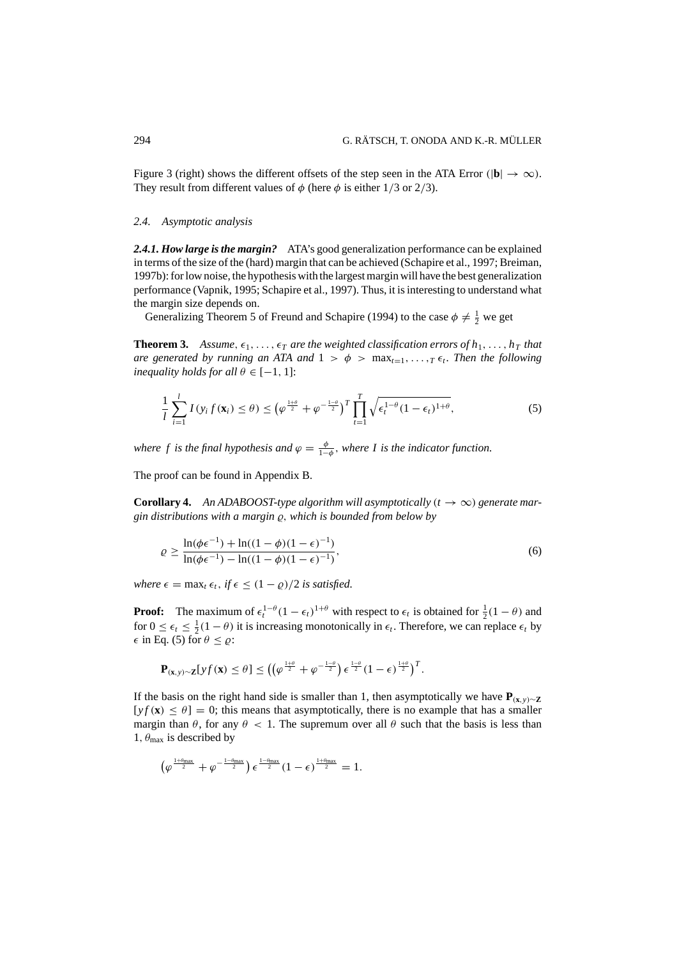Figure 3 (right) shows the different offsets of the step seen in the ATA Error ( $|\mathbf{b}| \to \infty$ ). They result from different values of  $\phi$  (here  $\phi$  is either 1/3 or 2/3).

# *2.4. Asymptotic analysis*

*2.4.1. How large is the margin?* ATA's good generalization performance can be explained in terms of the size of the (hard) margin that can be achieved (Schapire et al., 1997; Breiman, 1997b): for low noise, the hypothesis with the largest margin will have the best generalization performance (Vapnik, 1995; Schapire et al., 1997). Thus, it is interesting to understand what the margin size depends on.

Generalizing Theorem 5 of Freund and Schapire (1994) to the case  $\phi \neq \frac{1}{2}$  we get

**Theorem 3.** Assume,  $\epsilon_1, \ldots, \epsilon_T$  are the weighted classification errors of  $h_1, \ldots, h_T$  that *are generated by running an ATA and*  $1 > \phi > \max_{t=1}$ , ...,*T*  $\epsilon_t$ . *Then the following inequality holds for all*  $\theta \in [-1, 1]$ :

$$
\frac{1}{l}\sum_{i=1}^{l} I(y_i f(\mathbf{x}_i) \leq \theta) \leq \left(\varphi^{\frac{1+\theta}{2}} + \varphi^{-\frac{1-\theta}{2}}\right)^T \prod_{t=1}^{T} \sqrt{\epsilon_t^{1-\theta} (1-\epsilon_t)^{1+\theta}},
$$
\n(5)

*where f is the final hypothesis and*  $\varphi = \frac{\phi}{1-\phi}$ *, where I is the indicator function.* 

The proof can be found in Appendix B.

**Corollary 4.** An ADABOOST-type algorithm will asymptotically  $(t \rightarrow \infty)$  generate mar $g$ *in distributions with a margin*  $\varrho$ , *which is bounded from below by* 

$$
\varrho \ge \frac{\ln(\phi \epsilon^{-1}) + \ln((1 - \phi)(1 - \epsilon)^{-1})}{\ln(\phi \epsilon^{-1}) - \ln((1 - \phi)(1 - \epsilon)^{-1})},\tag{6}
$$

*where*  $\epsilon = \max_{t \in \mathcal{t}} \epsilon_t$ , *if*  $\epsilon \leq (1 - \varrho)/2$  *is satisfied.* 

**Proof:** The maximum of  $\epsilon_t^{1-\theta} (1 - \epsilon_t)^{1+\theta}$  with respect to  $\epsilon_t$  is obtained for  $\frac{1}{2}(1 - \theta)$  and for  $0 \le \epsilon_t \le \frac{1}{2}(1-\theta)$  it is increasing monotonically in  $\epsilon_t$ . Therefore, we can replace  $\epsilon_t$  by  $\epsilon$  in Eq. (5) for  $\theta \leq \varrho$ :

$$
\mathbf{P}_{(\mathbf{x},y)\sim\mathbf{Z}}[yf(\mathbf{x})\leq\theta]\leq\left(\left(\varphi^{\frac{1+\theta}{2}}+\varphi^{-\frac{1-\theta}{2}}\right)\epsilon^{\frac{1-\theta}{2}}(1-\epsilon)^{\frac{1+\theta}{2}}\right)^T.
$$

If the basis on the right hand side is smaller than 1, then asymptotically we have  $P(x,y) \sim Z$  $[y f(x) \leq \theta] = 0$ ; this means that asymptotically, there is no example that has a smaller margin than  $\theta$ , for any  $\theta$  < 1. The supremum over all  $\theta$  such that the basis is less than 1,  $\theta_{\text{max}}$  is described by

 $\big(\varphi^{\frac{1+\theta_{\max}}{2}}+\varphi^{-\frac{1-\theta_{\max}}{2}}\big)\epsilon^{\frac{1-\theta_{\max}}{2}}(1-\epsilon)^{\frac{1+\theta_{\max}}{2}}=1.$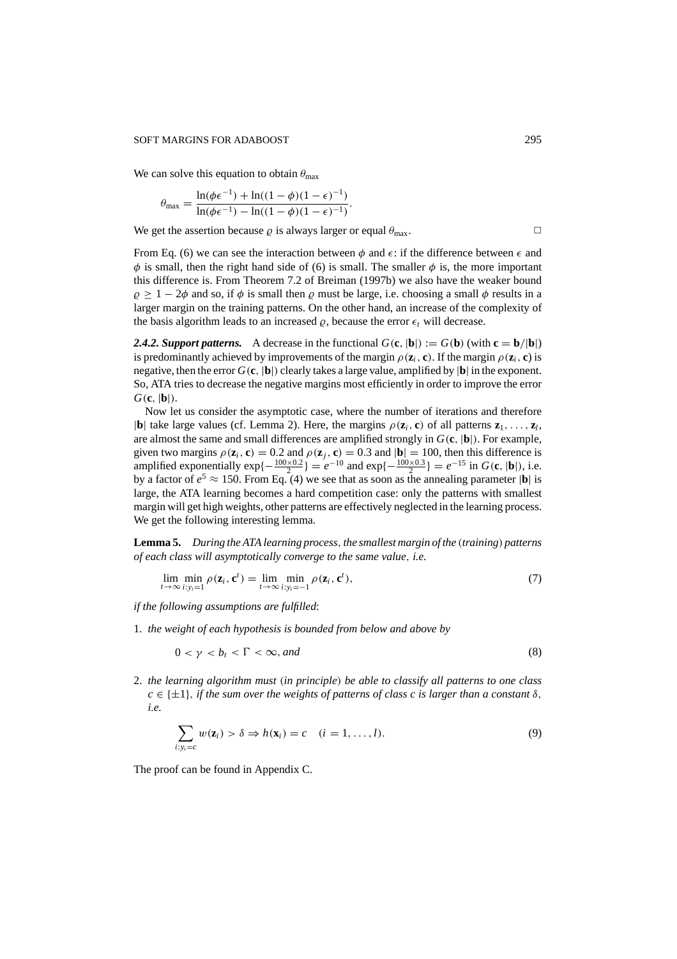#### SOFT MARGINS FOR ADABOOST 295

We can solve this equation to obtain  $\theta_{\text{max}}$ 

$$
\theta_{\max} = \frac{\ln(\phi \epsilon^{-1}) + \ln((1 - \phi)(1 - \epsilon)^{-1})}{\ln(\phi \epsilon^{-1}) - \ln((1 - \phi)(1 - \epsilon)^{-1})}.
$$

We get the assertion because  $\varrho$  is always larger or equal  $\theta_{\text{max}}$ .

From Eq. (6) we can see the interaction between  $\phi$  and  $\epsilon$ : if the difference between  $\epsilon$  and  $\phi$  is small, then the right hand side of (6) is small. The smaller  $\phi$  is, the more important this difference is. From Theorem 7.2 of Breiman (1997b) we also have the weaker bound  $\rho \ge 1 - 2\phi$  and so, if  $\phi$  is small then  $\rho$  must be large, i.e. choosing a small  $\phi$  results in a larger margin on the training patterns. On the other hand, an increase of the complexity of the basis algorithm leads to an increased  $\rho$ , because the error  $\epsilon_t$  will decrease.

**2.4.2. Support patterns.** A decrease in the functional  $G(c, |b|) := G(b)$  (with  $c = b/|b|$ ) is predominantly achieved by improvements of the margin  $\rho(\mathbf{z}_i, \mathbf{c})$ . If the margin  $\rho(\mathbf{z}_i, \mathbf{c})$  is negative, then the error  $G(c, |b|)$  clearly takes a large value, amplified by  $|b|$  in the exponent. So, ATA tries to decrease the negative margins most efficiently in order to improve the error *G*(**c**, |**b**|).

Now let us consider the asymptotic case, where the number of iterations and therefore  $|\mathbf{b}|$  take large values (cf. Lemma 2). Here, the margins  $\rho(\mathbf{z}_i, \mathbf{c})$  of all patterns  $\mathbf{z}_1, \ldots, \mathbf{z}_l$ , are almost the same and small differences are amplified strongly in *G*(**c**, |**b**|). For example, given two margins  $\rho(\mathbf{z}_i, \mathbf{c}) = 0.2$  and  $\rho(\mathbf{z}_i, \mathbf{c}) = 0.3$  and  $|\mathbf{b}| = 100$ , then this difference is amplified exponentially  $\exp\{-\frac{100 \times 0.2}{2}\} = e^{-10}$  and  $\exp\{-\frac{100 \times 0.3}{2}\} = e^{-15}$  in *G*(**c**, |**b**|), i.e. by a factor of  $e^5 \approx 150$ . From Eq. (4) we see that as soon as the annealing parameter  $|\mathbf{b}|$  is large, the ATA learning becomes a hard competition case: only the patterns with smallest margin will get high weights, other patterns are effectively neglected in the learning process. We get the following interesting lemma.

**Lemma 5.** *During the ATA learning process*,*the smallest margin of the* (*training*) *patterns of each class will asymptotically converge to the same value*, *i.e.*

$$
\lim_{t \to \infty} \min_{i: y_i = 1} \rho(\mathbf{z}_i, \mathbf{c}^t) = \lim_{t \to \infty} \min_{i: y_i = -1} \rho(\mathbf{z}_i, \mathbf{c}^t),
$$
\n(7)

*if the following assumptions are fulfilled*:

1. *the weight of each hypothesis is bounded from below and above by*

$$
0 < \gamma < b_t < \Gamma < \infty, \text{and} \tag{8}
$$

2. *the learning algorithm must* (*in principle*) *be able to classify all patterns to one class*  $c \in \{\pm 1\}$ , *if the sum over the weights of patterns of class c is larger than a constant*  $\delta$ . *i.e.*

$$
\sum_{i:y_i=c} w(\mathbf{z}_i) > \delta \Rightarrow h(\mathbf{x}_i) = c \quad (i=1,\ldots,l).
$$
\n(9)

The proof can be found in Appendix C.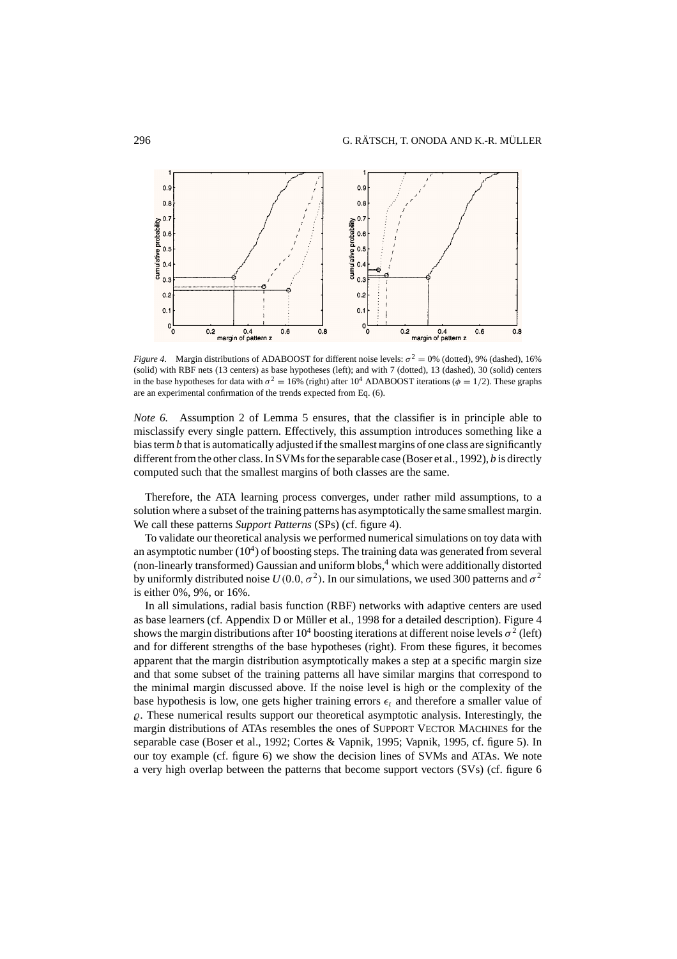

*Figure 4.* Margin distributions of ADABOOST for different noise levels:  $\sigma^2 = 0$ % (dotted), 9% (dashed), 16% (solid) with RBF nets (13 centers) as base hypotheses (left); and with 7 (dotted), 13 (dashed), 30 (solid) centers in the base hypotheses for data with  $\sigma^2 = 16\%$  (right) after 10<sup>4</sup> ADABOOST iterations ( $\phi = 1/2$ ). These graphs are an experimental confirmation of the trends expected from Eq. (6).

*Note 6.* Assumption 2 of Lemma 5 ensures, that the classifier is in principle able to misclassify every single pattern. Effectively, this assumption introduces something like a bias term *b* that is automatically adjusted if the smallest margins of one class are significantly different from the other class. In SVMs for the separable case (Boser et al., 1992), *b* is directly computed such that the smallest margins of both classes are the same.

Therefore, the ATA learning process converges, under rather mild assumptions, to a solution where a subset of the training patterns has asymptotically the same smallest margin. We call these patterns *Support Patterns* (SPs) (cf. figure 4).

To validate our theoretical analysis we performed numerical simulations on toy data with an asymptotic number  $(10^4)$  of boosting steps. The training data was generated from several (non-linearly transformed) Gaussian and uniform blobs,<sup>4</sup> which were additionally distorted by uniformly distributed noise  $U(0.0, \sigma^2)$ . In our simulations, we used 300 patterns and  $\sigma^2$ is either 0%, 9%, or 16%.

In all simulations, radial basis function (RBF) networks with adaptive centers are used as base learners (cf. Appendix D or Müller et al., 1998 for a detailed description). Figure 4 shows the margin distributions after  $10^4$  boosting iterations at different noise levels  $\sigma^2$  (left) and for different strengths of the base hypotheses (right). From these figures, it becomes apparent that the margin distribution asymptotically makes a step at a specific margin size and that some subset of the training patterns all have similar margins that correspond to the minimal margin discussed above. If the noise level is high or the complexity of the base hypothesis is low, one gets higher training errors  $\epsilon_t$  and therefore a smaller value of  $\rho$ . These numerical results support our theoretical asymptotic analysis. Interestingly, the margin distributions of ATAs resembles the ones of SUPPORT VECTOR MACHINES for the separable case (Boser et al., 1992; Cortes & Vapnik, 1995; Vapnik, 1995, cf. figure 5). In our toy example (cf. figure 6) we show the decision lines of SVMs and ATAs. We note a very high overlap between the patterns that become support vectors (SVs) (cf. figure 6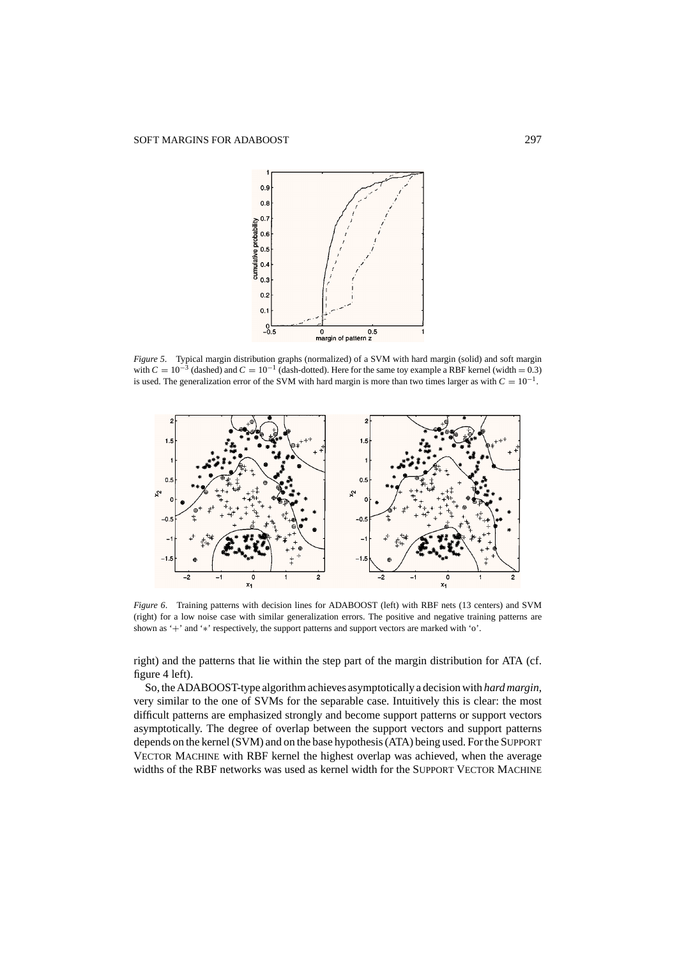

*Figure 5*. Typical margin distribution graphs (normalized) of a SVM with hard margin (solid) and soft margin with  $C = 10^{-3}$  (dashed) and  $C = 10^{-1}$  (dash-dotted). Here for the same toy example a RBF kernel (width = 0.3) is used. The generalization error of the SVM with hard margin is more than two times larger as with  $C = 10^{-1}$ .



*Figure 6*. Training patterns with decision lines for ADABOOST (left) with RBF nets (13 centers) and SVM (right) for a low noise case with similar generalization errors. The positive and negative training patterns are shown as '+' and '∗' respectively, the support patterns and support vectors are marked with 'o'.

right) and the patterns that lie within the step part of the margin distribution for ATA (cf. figure 4 left).

So, the ADABOOST-type algorithm achieves asymptotically a decision with *hard margin*, very similar to the one of SVMs for the separable case. Intuitively this is clear: the most difficult patterns are emphasized strongly and become support patterns or support vectors asymptotically. The degree of overlap between the support vectors and support patterns depends on the kernel (SVM) and on the base hypothesis (ATA) being used. For the SUPPORT VECTOR MACHINE with RBF kernel the highest overlap was achieved, when the average widths of the RBF networks was used as kernel width for the SUPPORT VECTOR MACHINE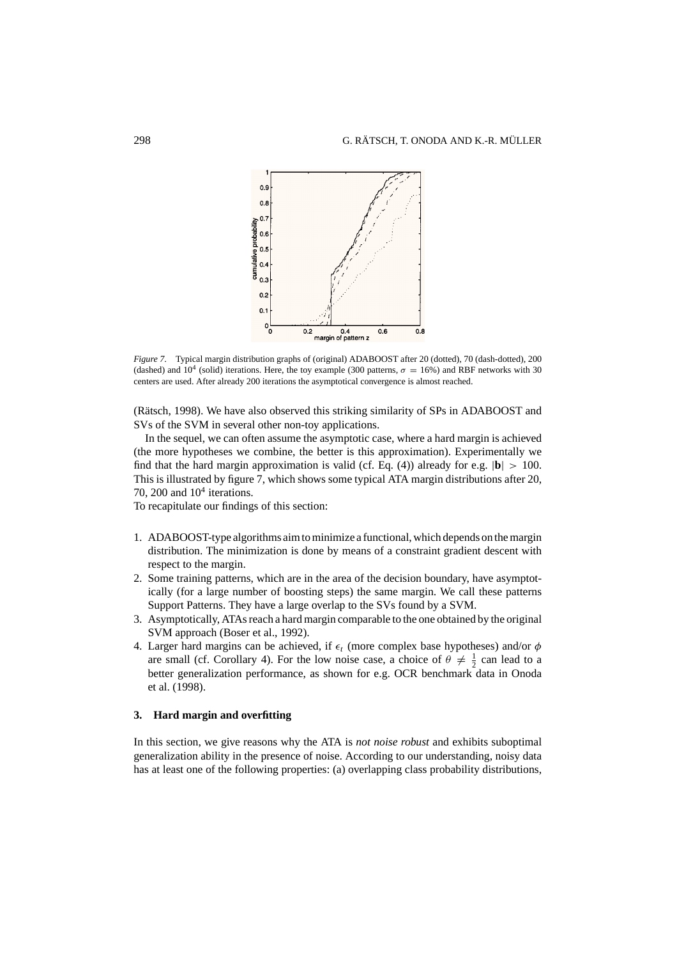

*Figure 7*. Typical margin distribution graphs of (original) ADABOOST after 20 (dotted), 70 (dash-dotted), 200 (dashed) and  $10^4$  (solid) iterations. Here, the toy example (300 patterns,  $\sigma = 16\%$ ) and RBF networks with 30 centers are used. After already 200 iterations the asymptotical convergence is almost reached.

(Rätsch, 1998). We have also observed this striking similarity of SPs in ADABOOST and SVs of the SVM in several other non-toy applications.

In the sequel, we can often assume the asymptotic case, where a hard margin is achieved (the more hypotheses we combine, the better is this approximation). Experimentally we find that the hard margin approximation is valid (cf. Eq. (4)) already for e.g.  $|\mathbf{b}| > 100$ . This is illustrated by figure 7, which shows some typical ATA margin distributions after 20, 70, 200 and  $10<sup>4</sup>$  iterations.

To recapitulate our findings of this section:

- 1. ADABOOST-type algorithms aim to minimize a functional, which depends on the margin distribution. The minimization is done by means of a constraint gradient descent with respect to the margin.
- 2. Some training patterns, which are in the area of the decision boundary, have asymptotically (for a large number of boosting steps) the same margin. We call these patterns Support Patterns. They have a large overlap to the SVs found by a SVM.
- 3. Asymptotically, ATAs reach a hard margin comparable to the one obtained by the original SVM approach (Boser et al., 1992).
- 4. Larger hard margins can be achieved, if  $\epsilon_t$  (more complex base hypotheses) and/or  $\phi$ are small (cf. Corollary 4). For the low noise case, a choice of  $\theta \neq \frac{1}{2}$  can lead to a better generalization performance, as shown for e.g. OCR benchmark data in Onoda et al. (1998).

# **3. Hard margin and overfitting**

In this section, we give reasons why the ATA is *not noise robust* and exhibits suboptimal generalization ability in the presence of noise. According to our understanding, noisy data has at least one of the following properties: (a) overlapping class probability distributions,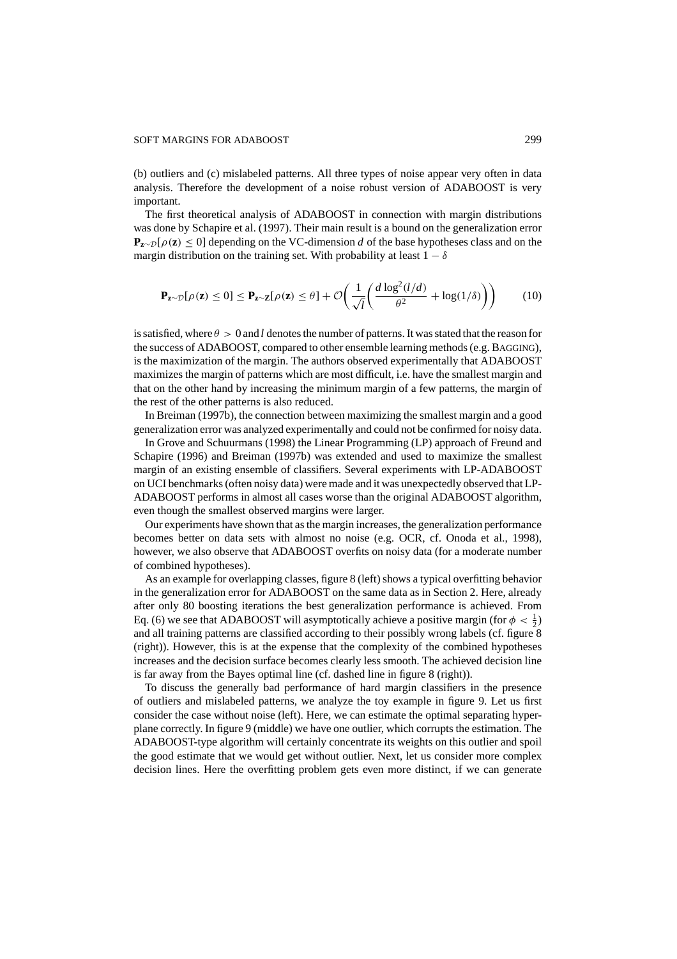#### SOFT MARGINS FOR ADABOOST 299

(b) outliers and (c) mislabeled patterns. All three types of noise appear very often in data analysis. Therefore the development of a noise robust version of ADABOOST is very important.

The first theoretical analysis of ADABOOST in connection with margin distributions was done by Schapire et al. (1997). Their main result is a bound on the generalization error **Pz**<sup>∼</sup>D[ρ(**z**) ≤ 0] depending on the VC-dimension *d* of the base hypotheses class and on the margin distribution on the training set. With probability at least  $1 - \delta$ 

$$
\mathbf{P}_{\mathbf{z}\sim\mathcal{D}}[\rho(\mathbf{z}) \le 0] \le \mathbf{P}_{\mathbf{z}\sim\mathbf{Z}}[\rho(\mathbf{z}) \le \theta] + \mathcal{O}\bigg(\frac{1}{\sqrt{l}}\bigg(\frac{d\log^2(l/d)}{\theta^2} + \log(1/\delta)\bigg)\bigg) \tag{10}
$$

is satisfied, where  $\theta > 0$  and *l* denotes the number of patterns. It was stated that the reason for the success of ADABOOST, compared to other ensemble learning methods (e.g. BAGGING), is the maximization of the margin. The authors observed experimentally that ADABOOST maximizes the margin of patterns which are most difficult, i.e. have the smallest margin and that on the other hand by increasing the minimum margin of a few patterns, the margin of the rest of the other patterns is also reduced.

In Breiman (1997b), the connection between maximizing the smallest margin and a good generalization error was analyzed experimentally and could not be confirmed for noisy data.

In Grove and Schuurmans (1998) the Linear Programming (LP) approach of Freund and Schapire (1996) and Breiman (1997b) was extended and used to maximize the smallest margin of an existing ensemble of classifiers. Several experiments with LP-ADABOOST on UCI benchmarks (often noisy data) were made and it was unexpectedly observed that LP-ADABOOST performs in almost all cases worse than the original ADABOOST algorithm, even though the smallest observed margins were larger.

Our experiments have shown that as the margin increases, the generalization performance becomes better on data sets with almost no noise (e.g. OCR, cf. Onoda et al., 1998), however, we also observe that ADABOOST overfits on noisy data (for a moderate number of combined hypotheses).

As an example for overlapping classes, figure 8 (left) shows a typical overfitting behavior in the generalization error for ADABOOST on the same data as in Section 2. Here, already after only 80 boosting iterations the best generalization performance is achieved. From Eq. (6) we see that ADABOOST will asymptotically achieve a positive margin (for  $\phi < \frac{1}{2}$ ) and all training patterns are classified according to their possibly wrong labels (cf. figure 8 (right)). However, this is at the expense that the complexity of the combined hypotheses increases and the decision surface becomes clearly less smooth. The achieved decision line is far away from the Bayes optimal line (cf. dashed line in figure 8 (right)).

To discuss the generally bad performance of hard margin classifiers in the presence of outliers and mislabeled patterns, we analyze the toy example in figure 9. Let us first consider the case without noise (left). Here, we can estimate the optimal separating hyperplane correctly. In figure 9 (middle) we have one outlier, which corrupts the estimation. The ADABOOST-type algorithm will certainly concentrate its weights on this outlier and spoil the good estimate that we would get without outlier. Next, let us consider more complex decision lines. Here the overfitting problem gets even more distinct, if we can generate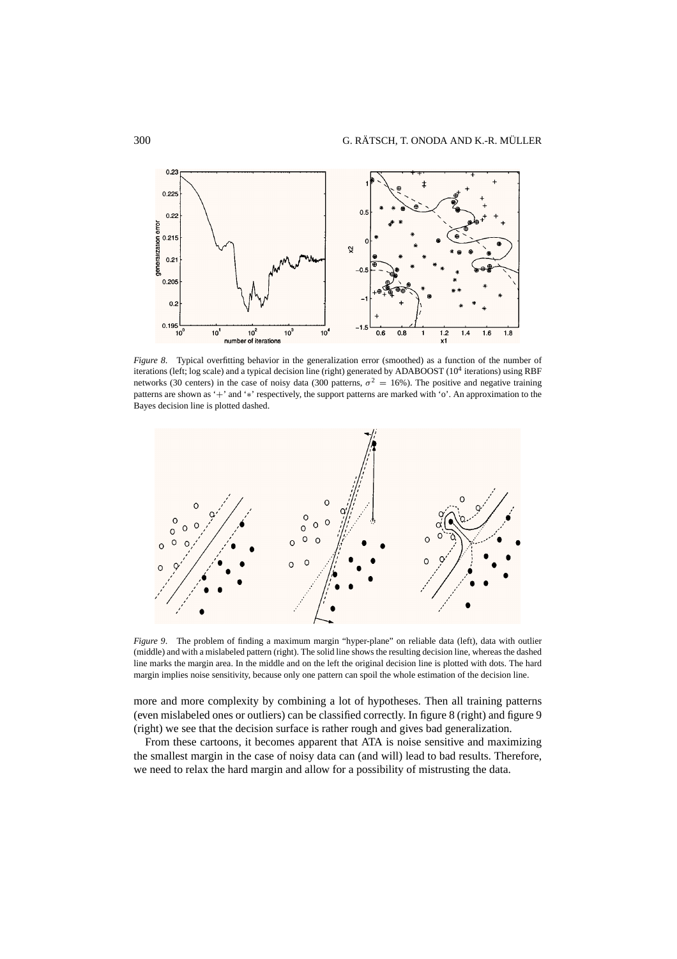

*Figure 8*. Typical overfitting behavior in the generalization error (smoothed) as a function of the number of iterations (left; log scale) and a typical decision line (right) generated by ADABOOST (10<sup>4</sup> iterations) using RBF networks (30 centers) in the case of noisy data (300 patterns,  $\sigma^2 = 16\%$ ). The positive and negative training patterns are shown as '+' and '∗' respectively, the support patterns are marked with 'o'. An approximation to the Bayes decision line is plotted dashed.



*Figure 9*. The problem of finding a maximum margin "hyper-plane" on reliable data (left), data with outlier (middle) and with a mislabeled pattern (right). The solid line shows the resulting decision line, whereas the dashed line marks the margin area. In the middle and on the left the original decision line is plotted with dots. The hard margin implies noise sensitivity, because only one pattern can spoil the whole estimation of the decision line.

more and more complexity by combining a lot of hypotheses. Then all training patterns (even mislabeled ones or outliers) can be classified correctly. In figure 8 (right) and figure 9 (right) we see that the decision surface is rather rough and gives bad generalization.

From these cartoons, it becomes apparent that ATA is noise sensitive and maximizing the smallest margin in the case of noisy data can (and will) lead to bad results. Therefore, we need to relax the hard margin and allow for a possibility of mistrusting the data.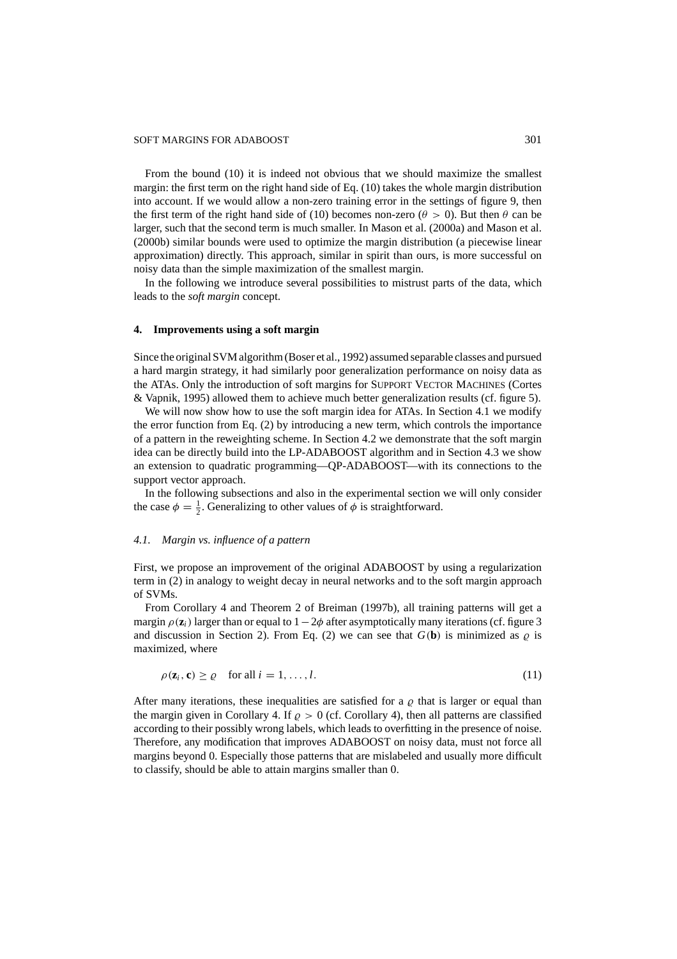#### SOFT MARGINS FOR ADABOOST 301

From the bound (10) it is indeed not obvious that we should maximize the smallest margin: the first term on the right hand side of Eq. (10) takes the whole margin distribution into account. If we would allow a non-zero training error in the settings of figure 9, then the first term of the right hand side of (10) becomes non-zero ( $\theta > 0$ ). But then  $\theta$  can be larger, such that the second term is much smaller. In Mason et al. (2000a) and Mason et al. (2000b) similar bounds were used to optimize the margin distribution (a piecewise linear approximation) directly. This approach, similar in spirit than ours, is more successful on noisy data than the simple maximization of the smallest margin.

In the following we introduce several possibilities to mistrust parts of the data, which leads to the *soft margin* concept.

# **4. Improvements using a soft margin**

Since the original SVM algorithm (Boser et al., 1992) assumed separable classes and pursued a hard margin strategy, it had similarly poor generalization performance on noisy data as the ATAs. Only the introduction of soft margins for SUPPORT VECTOR MACHINES (Cortes & Vapnik, 1995) allowed them to achieve much better generalization results (cf. figure 5).

We will now show how to use the soft margin idea for ATAs. In Section 4.1 we modify the error function from Eq. (2) by introducing a new term, which controls the importance of a pattern in the reweighting scheme. In Section 4.2 we demonstrate that the soft margin idea can be directly build into the LP-ADABOOST algorithm and in Section 4.3 we show an extension to quadratic programming—QP-ADABOOST—with its connections to the support vector approach.

In the following subsections and also in the experimental section we will only consider the case  $\phi = \frac{1}{2}$ . Generalizing to other values of  $\phi$  is straightforward.

# *4.1. Margin vs. influence of a pattern*

First, we propose an improvement of the original ADABOOST by using a regularization term in (2) in analogy to weight decay in neural networks and to the soft margin approach of SVMs.

From Corollary 4 and Theorem 2 of Breiman (1997b), all training patterns will get a margin  $\rho(\mathbf{z}_i)$  larger than or equal to  $1-2\phi$  after asymptotically many iterations (cf. figure 3 and discussion in Section 2). From Eq. (2) we can see that  $G(\mathbf{b})$  is minimized as  $\rho$  is maximized, where

$$
\rho(\mathbf{z}_i, \mathbf{c}) \ge \varrho \quad \text{for all } i = 1, \dots, l. \tag{11}
$$

After many iterations, these inequalities are satisfied for a  $\rho$  that is larger or equal than the margin given in Corollary 4. If  $\rho > 0$  (cf. Corollary 4), then all patterns are classified according to their possibly wrong labels, which leads to overfitting in the presence of noise. Therefore, any modification that improves ADABOOST on noisy data, must not force all margins beyond 0. Especially those patterns that are mislabeled and usually more difficult to classify, should be able to attain margins smaller than 0.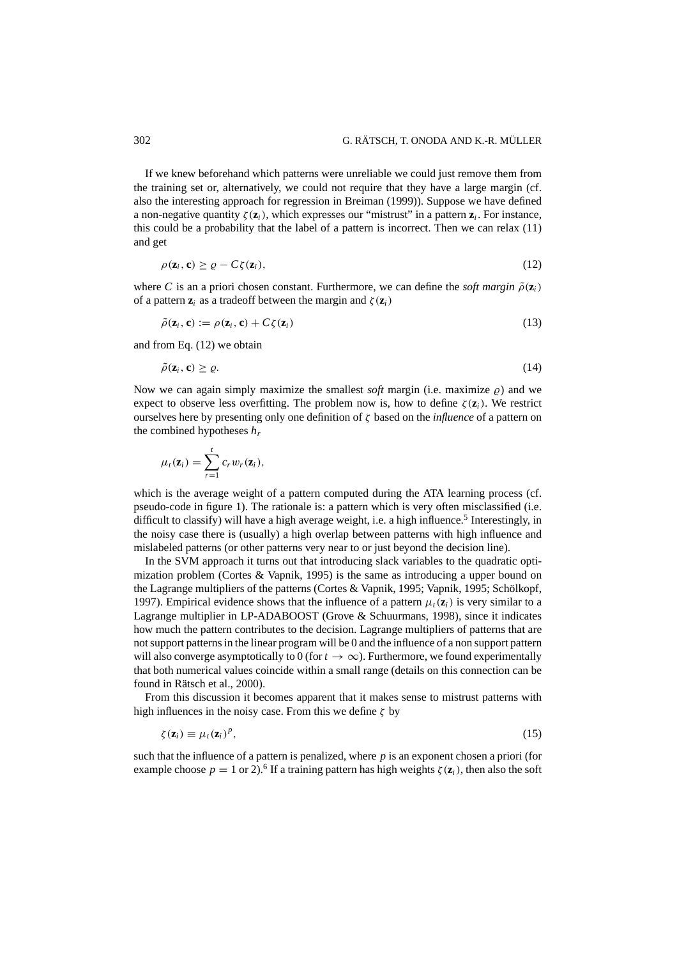If we knew beforehand which patterns were unreliable we could just remove them from the training set or, alternatively, we could not require that they have a large margin (cf. also the interesting approach for regression in Breiman (1999)). Suppose we have defined a non-negative quantity  $\zeta(\mathbf{z}_i)$ , which expresses our "mistrust" in a pattern  $\mathbf{z}_i$ . For instance, this could be a probability that the label of a pattern is incorrect. Then we can relax (11) and get

$$
\rho(\mathbf{z}_i, \mathbf{c}) \ge \varrho - C\zeta(\mathbf{z}_i),\tag{12}
$$

where *C* is an a priori chosen constant. Furthermore, we can define the *soft margin*  $\tilde{\rho}(\mathbf{z}_i)$ of a pattern  $\mathbf{z}_i$  as a tradeoff between the margin and  $\zeta(\mathbf{z}_i)$ 

$$
\tilde{\rho}(\mathbf{z}_i, \mathbf{c}) := \rho(\mathbf{z}_i, \mathbf{c}) + C\zeta(\mathbf{z}_i)
$$
\n(13)

and from Eq. (12) we obtain

$$
\tilde{\rho}(\mathbf{z}_i, \mathbf{c}) \ge \varrho. \tag{14}
$$

Now we can again simply maximize the smallest *soft* margin (i.e. maximize  $\rho$ ) and we expect to observe less overfitting. The problem now is, how to define  $\zeta(\mathbf{z}_i)$ . We restrict ourselves here by presenting only one definition of ζ based on the *influence* of a pattern on the combined hypotheses *hr*

$$
\mu_t(\mathbf{z}_i) = \sum_{r=1}^t c_r w_r(\mathbf{z}_i),
$$

which is the average weight of a pattern computed during the ATA learning process (cf. pseudo-code in figure 1). The rationale is: a pattern which is very often misclassified (i.e. difficult to classify) will have a high average weight, i.e. a high influence.<sup>5</sup> Interestingly, in the noisy case there is (usually) a high overlap between patterns with high influence and mislabeled patterns (or other patterns very near to or just beyond the decision line).

In the SVM approach it turns out that introducing slack variables to the quadratic optimization problem (Cortes & Vapnik, 1995) is the same as introducing a upper bound on the Lagrange multipliers of the patterns (Cortes & Vapnik, 1995; Vapnik, 1995; Schölkopf, 1997). Empirical evidence shows that the influence of a pattern  $\mu_t(\mathbf{z}_i)$  is very similar to a Lagrange multiplier in LP-ADABOOST (Grove & Schuurmans, 1998), since it indicates how much the pattern contributes to the decision. Lagrange multipliers of patterns that are not support patterns in the linear program will be 0 and the influence of a non support pattern will also converge asymptotically to 0 (for  $t \to \infty$ ). Furthermore, we found experimentally that both numerical values coincide within a small range (details on this connection can be found in Rätsch et al., 2000).

From this discussion it becomes apparent that it makes sense to mistrust patterns with high influences in the noisy case. From this we define  $\zeta$  by

$$
\zeta(\mathbf{z}_i) \equiv \mu_t(\mathbf{z}_i)^p,\tag{15}
$$

such that the influence of a pattern is penalized, where *p* is an exponent chosen a priori (for example choose  $p = 1$  or 2).<sup>6</sup> If a training pattern has high weights  $\zeta(\mathbf{z}_i)$ , then also the soft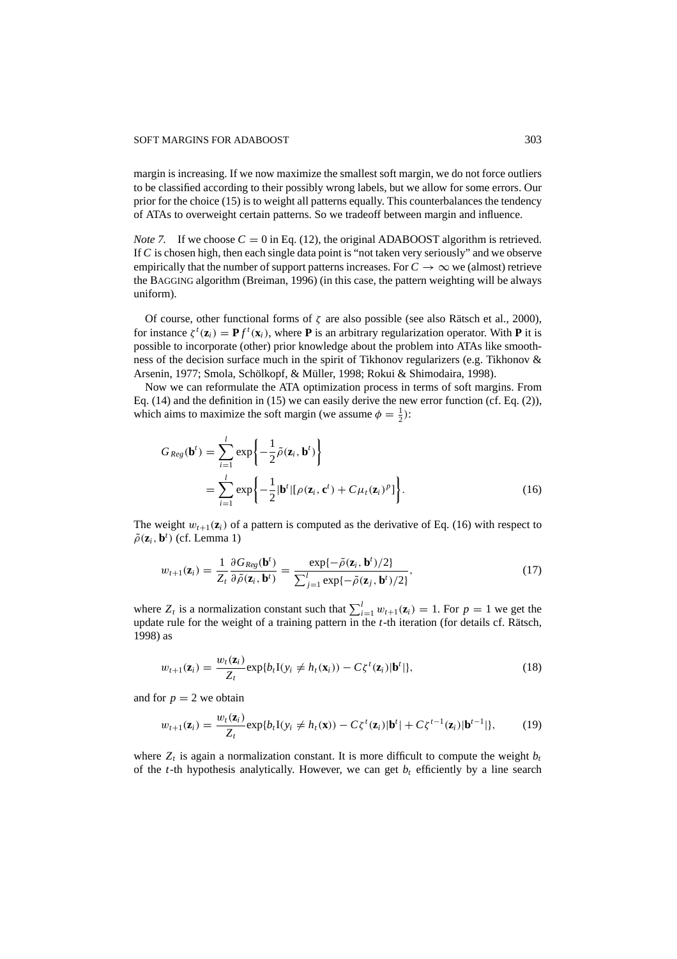margin is increasing. If we now maximize the smallest soft margin, we do not force outliers to be classified according to their possibly wrong labels, but we allow for some errors. Our prior for the choice (15) is to weight all patterns equally. This counterbalances the tendency of ATAs to overweight certain patterns. So we tradeoff between margin and influence.

*Note 7.* If we choose  $C = 0$  in Eq. (12), the original ADABOOST algorithm is retrieved. If *C* is chosen high, then each single data point is "not taken very seriously" and we observe empirically that the number of support patterns increases. For  $C \to \infty$  we (almost) retrieve the BAGGING algorithm (Breiman, 1996) (in this case, the pattern weighting will be always uniform).

Of course, other functional forms of  $\zeta$  are also possible (see also Rätsch et al., 2000), for instance  $\zeta^t(\mathbf{z}_i) = \mathbf{P} f^t(\mathbf{x}_i)$ , where **P** is an arbitrary regularization operator. With **P** it is possible to incorporate (other) prior knowledge about the problem into ATAs like smoothness of the decision surface much in the spirit of Tikhonov regularizers (e.g. Tikhonov & Arsenin, 1977; Smola, Schölkopf, & Müller, 1998; Rokui & Shimodaira, 1998).

Now we can reformulate the ATA optimization process in terms of soft margins. From Eq. (14) and the definition in (15) we can easily derive the new error function (cf. Eq. (2)), which aims to maximize the soft margin (we assume  $\phi = \frac{1}{2}$ ):

$$
G_{Reg}(\mathbf{b}^{t}) = \sum_{i=1}^{l} \exp\left\{-\frac{1}{2}\tilde{\rho}(\mathbf{z}_{i}, \mathbf{b}^{t})\right\}
$$
  
= 
$$
\sum_{i=1}^{l} \exp\left\{-\frac{1}{2}|\mathbf{b}^{t}|[\rho(\mathbf{z}_{i}, \mathbf{c}^{t}) + C\mu_{t}(\mathbf{z}_{i})^{p}]\right\}.
$$
 (16)

The weight  $w_{t+1}(\mathbf{z}_i)$  of a pattern is computed as the derivative of Eq. (16) with respect to  $\tilde{\rho}(\mathbf{z}_i, \mathbf{b}^t)$  (cf. Lemma 1)

$$
w_{t+1}(\mathbf{z}_i) = \frac{1}{Z_t} \frac{\partial G_{Reg}(\mathbf{b}^t)}{\partial \tilde{\rho}(\mathbf{z}_i, \mathbf{b}^t)} = \frac{\exp\{-\tilde{\rho}(\mathbf{z}_i, \mathbf{b}^t)/2\}}{\sum_{j=1}^l \exp\{-\tilde{\rho}(\mathbf{z}_j, \mathbf{b}^t)/2\}},
$$
(17)

where  $Z_t$  is a normalization constant such that  $\sum_{i=1}^{l} w_{t+1}(\mathbf{z}_i) = 1$ . For  $p = 1$  we get the update rule for the weight of a training pattern in the *t*-th iteration (for details cf. Rätsch, 1998) as

$$
w_{t+1}(\mathbf{z}_i) = \frac{w_t(\mathbf{z}_i)}{Z_t} \exp\{b_t \mathbf{I}(y_i \neq h_t(\mathbf{x}_i)) - C\zeta^t(\mathbf{z}_i) | \mathbf{b}^t| \},
$$
\n(18)

and for  $p = 2$  we obtain

$$
w_{t+1}(\mathbf{z}_i) = \frac{w_t(\mathbf{z}_i)}{Z_t} \exp\{b_t \mathbf{I}(y_i \neq h_t(\mathbf{x})) - C\zeta^t(\mathbf{z}_i) | \mathbf{b}^t| + C\zeta^{t-1}(\mathbf{z}_i) | \mathbf{b}^{t-1}| \},\tag{19}
$$

where  $Z_t$  is again a normalization constant. It is more difficult to compute the weight  $b_t$ of the *t*-th hypothesis analytically. However, we can get  $b_t$  efficiently by a line search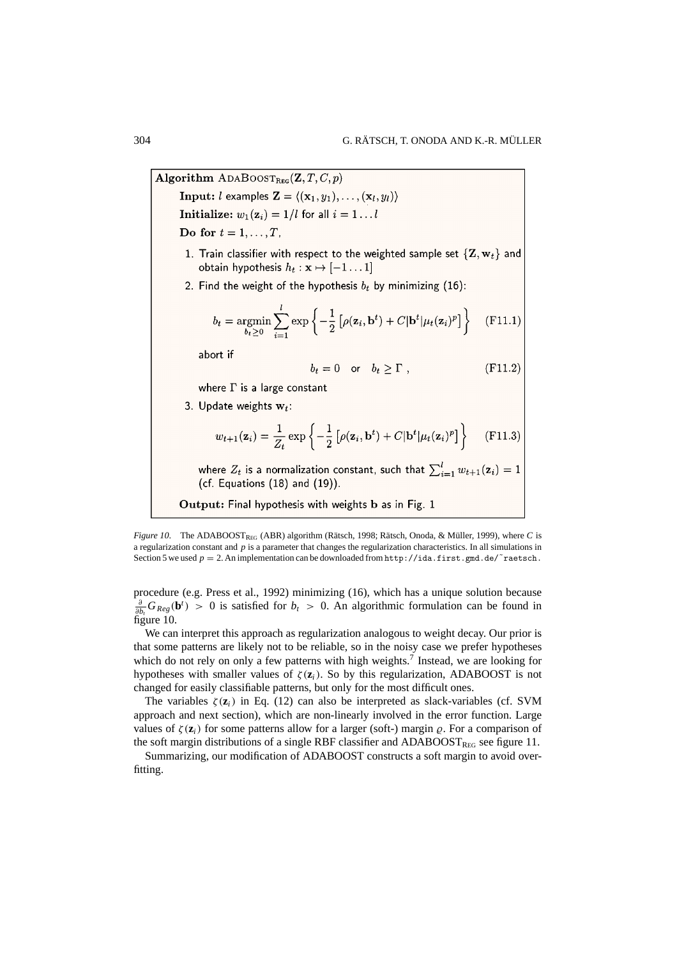Algorithm ADABOOSTREG(Z, T, C, p) **Input:** *l* examples  $\mathbf{Z} = \langle (\mathbf{x}_1, y_1), \dots, (\mathbf{x}_l, y_l) \rangle$ Initialize:  $w_1(z_i) = 1/l$  for all  $i = 1...l$ Do for  $t = 1, \ldots, T$ . 1. Train classifier with respect to the weighted sample set  $\{Z, w_t\}$  and obtain hypothesis  $h_t : \mathbf{x} \mapsto [-1 \dots 1]$ 2. Find the weight of the hypothesis  $b_t$  by minimizing (16):  $b_t = \operatorname*{argmin}_{b_t > 0} \sum_{i=1}^{l} \exp \left\{-\frac{1}{2} \left[ \rho(\mathbf{z}_i, \mathbf{b}^t) + C |\mathbf{b}^t| \mu_t(\mathbf{z}_i)^p \right] \right\}$  $(F11.1)$ abort if  $b_t = 0$  or  $b_t > \Gamma$ ,  $(F11.2)$ where  $\Gamma$  is a large constant 3. Update weights  $w_t$ :  $w_{t+1}(\mathbf{z}_i) = \frac{1}{Z_t} \exp \left\{-\frac{1}{2} \left[\rho(\mathbf{z}_i, \mathbf{b}^t) + C |\mathbf{b}^t| \mu_t(\mathbf{z}_i)^p\right]\right\}$  $(F11.3)$ where  $Z_t$  is a normalization constant, such that  $\sum_{i=1}^{l} w_{t+1}(\mathbf{z}_i) = 1$ (cf. Equations  $(18)$  and  $(19)$ ). Output: Final hypothesis with weights b as in Fig. 1

*Figure 10.* The ADABOOSTREG (ABR) algorithm (Rätsch, 1998; Rätsch, Onoda, & Müller, 1999), where *C* is a regularization constant and *p* is a parameter that changes the regularization characteristics. In all simulations in Section 5 we used  $p = 2$ . An implementation can be downloaded from http://ida.first.gmd.de/ $\tilde{\ }$ raetsch.

procedure (e.g. Press et al., 1992) minimizing (16), which has a unique solution because  $\frac{\partial}{\partial b_t} G_{Reg}(\mathbf{b}^t) > 0$  is satisfied for  $b_t > 0$ . An algorithmic formulation can be found in figure 10.

We can interpret this approach as regularization analogous to weight decay. Our prior is that some patterns are likely not to be reliable, so in the noisy case we prefer hypotheses which do not rely on only a few patterns with high weights.<sup>7</sup> Instead, we are looking for hypotheses with smaller values of  $\zeta(\mathbf{z}_i)$ . So by this regularization, ADABOOST is not changed for easily classifiable patterns, but only for the most difficult ones.

The variables  $\zeta(\mathbf{z}_i)$  in Eq. (12) can also be interpreted as slack-variables (cf. SVM approach and next section), which are non-linearly involved in the error function. Large values of  $\zeta(\mathbf{z}_i)$  for some patterns allow for a larger (soft-) margin  $\varrho$ . For a comparison of the soft margin distributions of a single RBF classifier and  $ADABOOST<sub>REG</sub>$  see figure 11.

Summarizing, our modification of ADABOOST constructs a soft margin to avoid overfitting.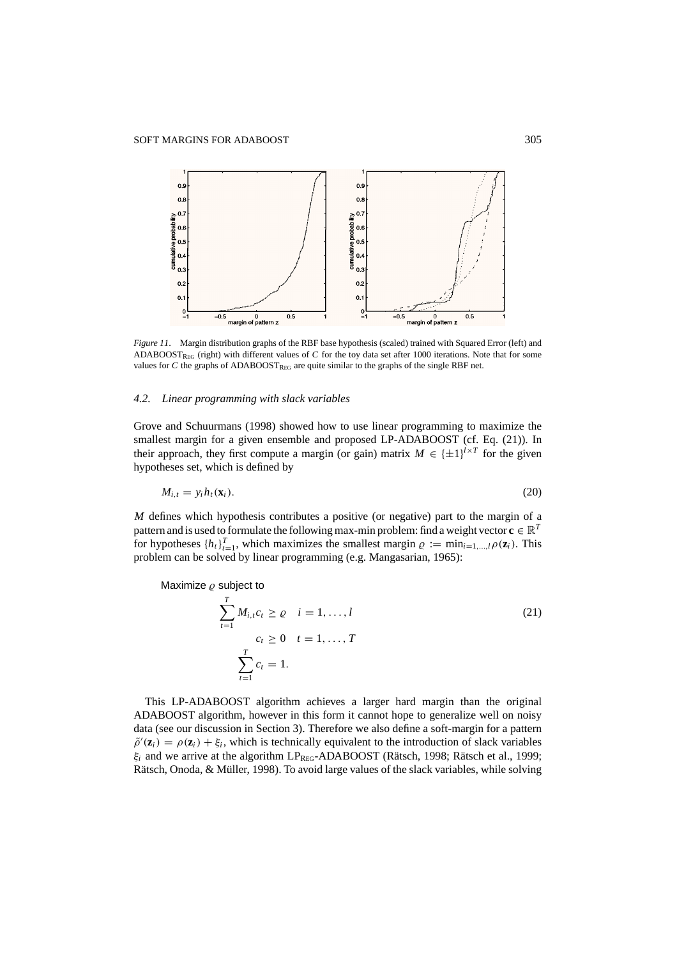

*Figure 11.* Margin distribution graphs of the RBF base hypothesis (scaled) trained with Squared Error (left) and ADABOOSTREG (right) with different values of *C* for the toy data set after 1000 iterations. Note that for some values for *C* the graphs of ADABOOST<sub>REG</sub> are quite similar to the graphs of the single RBF net.

#### *4.2. Linear programming with slack variables*

Grove and Schuurmans (1998) showed how to use linear programming to maximize the smallest margin for a given ensemble and proposed LP-ADABOOST (cf. Eq. (21)). In their approach, they first compute a margin (or gain) matrix  $M \in {\pm 1}^{l \times T}$  for the given hypotheses set, which is defined by

$$
M_{i,t} = y_i h_t(\mathbf{x}_i). \tag{20}
$$

*M* defines which hypothesis contributes a positive (or negative) part to the margin of a pattern and is used to formulate the following max-min problem: find a weight vector  $\mathbf{c} \in \mathbb{R}^T$ for hypotheses  $\{h_t\}_{t=1}^T$ , which maximizes the smallest margin  $\varrho := \min_{i=1,\dots,l} \rho(\mathbf{z}_i)$ . This problem can be solved by linear programming (e.g. Mangasarian, 1965):

Maximize  $\rho$  subject to

$$
\sum_{t=1}^{T} M_{i,t} c_t \ge \varrho \quad i = 1, ..., l
$$
\n
$$
c_t \ge 0 \quad t = 1, ..., T
$$
\n
$$
\sum_{t=1}^{T} c_t = 1.
$$
\n(21)

This LP-ADABOOST algorithm achieves a larger hard margin than the original ADABOOST algorithm, however in this form it cannot hope to generalize well on noisy data (see our discussion in Section 3). Therefore we also define a soft-margin for a pattern  $\tilde{\rho}'(\mathbf{z}_i) = \rho(\mathbf{z}_i) + \xi_i$ , which is technically equivalent to the introduction of slack variables  $\xi$ <sub>*i*</sub> and we arrive at the algorithm LP<sub>REG</sub>-ADABOOST (Rätsch, 1998; Rätsch et al., 1999; Rätsch, Onoda, & Müller, 1998). To avoid large values of the slack variables, while solving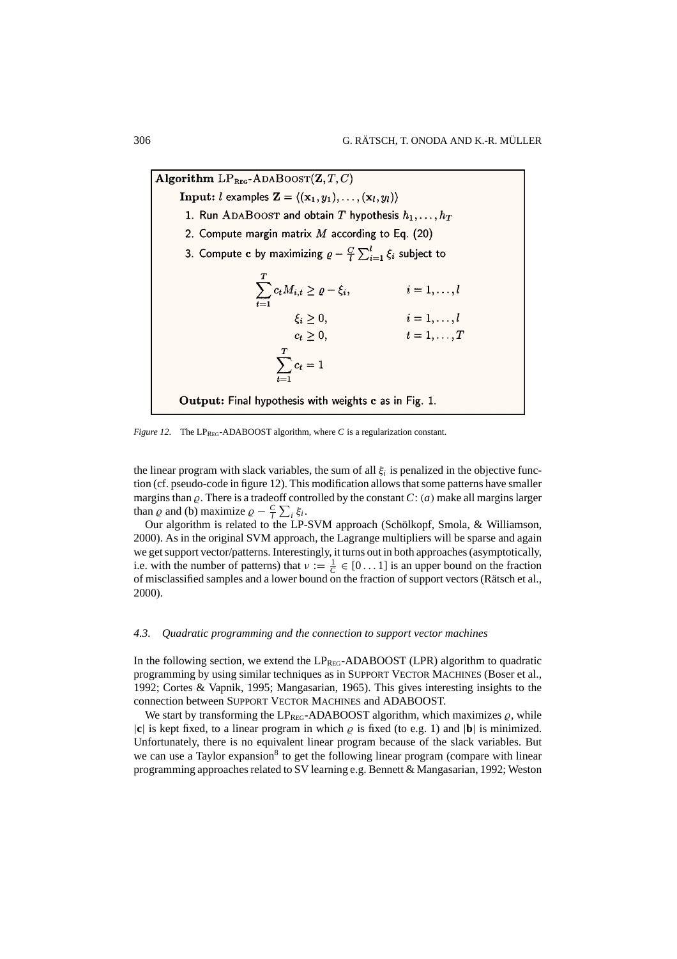Algorithm  $LP_{BEG}$ -ADABOOST $(\mathbf{Z}, T, C)$ **Input:** *l* examples  $\mathbf{Z} = \langle (\mathbf{x}_1, y_1), \dots, (\mathbf{x}_l, y_l) \rangle$ 1. Run ADABOOST and obtain T hypothesis  $h_1, \ldots, h_T$ 2. Compute margin matrix  $M$  according to Eq. (20) 3. Compute c by maximizing  $\rho - \frac{C}{l} \sum_{i=1}^{l} \xi_i$  subject to y maximizing  $\varrho - \frac{C}{l} \sum_{i=1}^{l} \xi_i$  subject to<br>  $\sum_{i=1}^{T} c_t M_{i,t} \ge \varrho - \xi_i,$   $i = 1, ..., l$ <br>  $\xi_i \ge 0,$   $i = 1, ..., T$ <br>  $\sum_{t=1}^{T} c_t = 1$ <br>  $\sum_{t=1}^{T} c_t = 1$  $\sum_{t=1}^T c_t M_{i,t} \geq \varrho - \xi_i,$ Output: Final hypothesis with weights c as in Fig. 1.

*Figure 12.* The LP<sub>REG</sub>-ADABOOST algorithm, where *C* is a regularization constant.

the linear program with slack variables, the sum of all  $\xi$  is penalized in the objective function (cf. pseudo-code in figure 12). This modification allows that some patterns have smaller margins than  $\rho$ . There is a tradeoff controlled by the constant  $C: (a)$  make all margins larger than  $\varrho$  and (b) maximize  $\varrho - \frac{C}{l} \sum_i \xi_i$ .

Our algorithm is related to the LP-SVM approach (Schölkopf, Smola, & Williamson, 2000). As in the original SVM approach, the Lagrange multipliers will be sparse and again we get support vector/patterns. Interestingly, it turns out in both approaches (asymptotically, i.e. with the number of patterns) that  $\nu := \frac{1}{C} \in [0 \dots 1]$  is an upper bound on the fraction of misclassified samples and a lower bound on the fraction of support vectors (Rätsch et al., 2000).

## *4.3. Quadratic programming and the connection to support vector machines*

In the following section, we extend the  $LP_{REG}$ -ADABOOST (LPR) algorithm to quadratic programming by using similar techniques as in SUPPORT VECTOR MACHINES (Boser et al., 1992; Cortes & Vapnik, 1995; Mangasarian, 1965). This gives interesting insights to the connection between SUPPORT VECTOR MACHINES and ADABOOST.

We start by transforming the LP<sub>REG</sub>-ADABOOST algorithm, which maximizes  $\varrho$ , while  $|\mathbf{c}|$  is kept fixed, to a linear program in which  $\varrho$  is fixed (to e.g. 1) and  $|\mathbf{b}|$  is minimized. Unfortunately, there is no equivalent linear program because of the slack variables. But we can use a Taylor expansion<sup>8</sup> to get the following linear program (compare with linear programming approaches related to SV learning e.g. Bennett & Mangasarian, 1992; Weston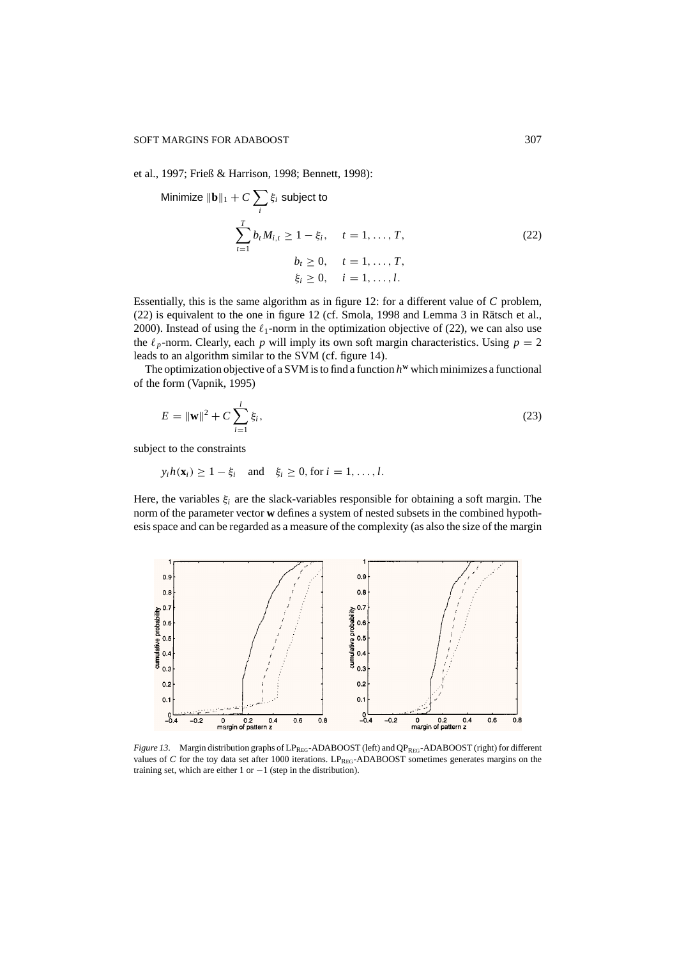Minimize k**b**k<sup>1</sup> + *C*

et al., 1997; Frieß & Harrison, 1998; Bennett, 1998):

$$
\text{imize } \|\mathbf{b}\|_{1} + C \sum_{i} \xi_{i} \text{ subject to}
$$
\n
$$
\sum_{t=1}^{T} b_{t} M_{i,t} \ge 1 - \xi_{i}, \quad t = 1, \dots, T,
$$
\n
$$
b_{t} \ge 0, \quad t = 1, \dots, T,
$$
\n
$$
\xi_{i} \ge 0, \quad i = 1, \dots, l.
$$
\n(22)

Essentially, this is the same algorithm as in figure 12: for a different value of *C* problem,  $(22)$  is equivalent to the one in figure 12 (cf. Smola, 1998 and Lemma 3 in Rätsch et al., 2000). Instead of using the  $\ell_1$ -norm in the optimization objective of (22), we can also use the  $\ell_p$ -norm. Clearly, each *p* will imply its own soft margin characteristics. Using  $p = 2$ leads to an algorithm similar to the SVM (cf. figure 14).

The optimization objective of a SVM is to find a function  $h^{\mathbf{w}}$  which minimizes a functional of the form (Vapnik, 1995)

$$
E = \|\mathbf{w}\|^2 + C \sum_{i=1}^{l} \xi_i,
$$
\n(23)

subject to the constraints

 $y_i h(\mathbf{x}_i) \geq 1 - \xi_i$  and  $\xi_i \geq 0$ , for  $i = 1, \ldots, l$ .

Here, the variables ξ*<sup>i</sup>* are the slack-variables responsible for obtaining a soft margin. The norm of the parameter vector **w** defines a system of nested subsets in the combined hypothesis space and can be regarded as a measure of the complexity (as also the size of the margin



*Figure 13.* Margin distribution graphs of LP<sub>REG</sub>-ADABOOST (left) and QP<sub>REG</sub>-ADABOOST (right) for different values of *C* for the toy data set after 1000 iterations. LP<sub>REG</sub>-ADABOOST sometimes generates margins on the training set, which are either 1 or  $-1$  (step in the distribution).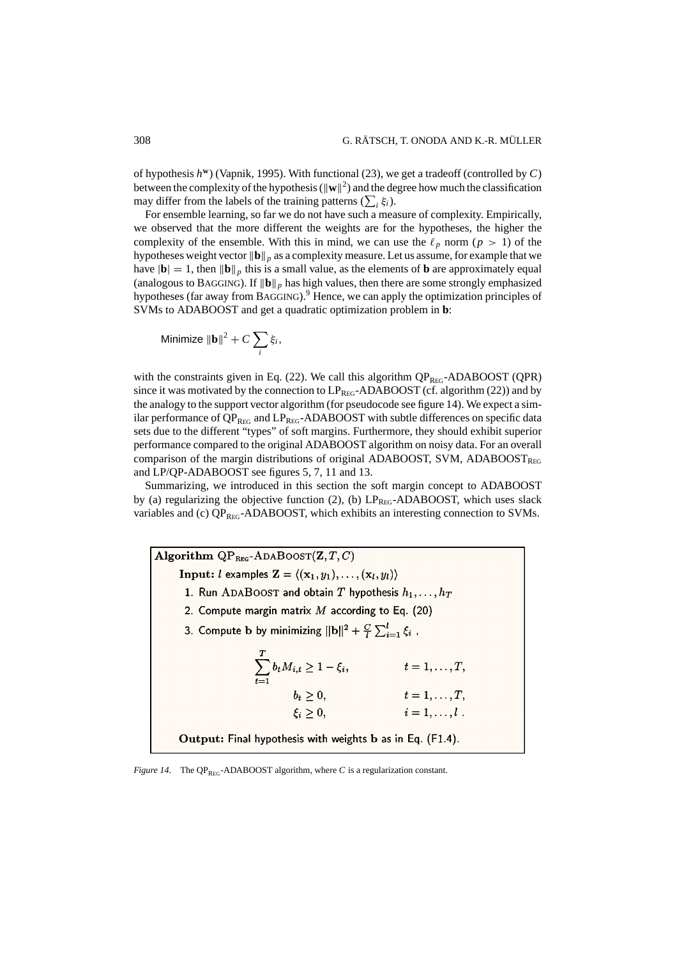of hypothesis *h***<sup>w</sup>**) (Vapnik, 1995). With functional (23), we get a tradeoff (controlled by *C*) between the complexity of the hypothesis  $(\|\mathbf{w}\|^2)$  and the degree how much the classification may differ from the labels of the training patterns  $(\sum_i \xi_i)$ .

For ensemble learning, so far we do not have such a measure of complexity. Empirically, we observed that the more different the weights are for the hypotheses, the higher the complexity of the ensemble. With this in mind, we can use the  $\ell_p$  norm ( $p > 1$ ) of the hypotheses weight vector  $\|\mathbf{b}\|_p$  as a complexity measure. Let us assume, for example that we have  $|\mathbf{b}| = 1$ , then  $||\mathbf{b}||_p$  this is a small value, as the elements of **b** are approximately equal (analogous to BAGGING). If  $\|\mathbf{b}\|_p$  has high values, then there are some strongly emphasized hypotheses (far away from BAGGING).9 Hence, we can apply the optimization principles of SVMs to ADABOOST and get a quadratic optimization problem in **b**:

Minimize 
$$
\|\mathbf{b}\|^2 + C \sum_i \xi_i
$$
,

with the constraints given in Eq. (22). We call this algorithm  $QP_{REG}$ -ADABOOST (QPR) since it was motivated by the connection to  $LP_{REG}$ -ADABOOST (cf. algorithm (22)) and by the analogy to the support vector algorithm (for pseudocode see figure 14). We expect a similar performance of  $QP_{REG}$  and  $LP_{REG}$ -ADABOOST with subtle differences on specific data sets due to the different "types" of soft margins. Furthermore, they should exhibit superior performance compared to the original ADABOOST algorithm on noisy data. For an overall comparison of the margin distributions of original ADABOOST, SVM, ADABOOST $_{\text{Reg}}$ and LP/QP-ADABOOST see figures 5, 7, 11 and 13.

Summarizing, we introduced in this section the soft margin concept to ADABOOST by (a) regularizing the objective function (2), (b)  $LP_{REG}$ -ADABOOST, which uses slack variables and (c)  $QP_{REG}$ -ADABOOST, which exhibits an interesting connection to SVMs.

Algorithm  $QP_{BFG}$ -ADABOOST $(\mathbf{Z}, T, C)$ **Input:** *l* examples  $\mathbf{Z} = \langle (\mathbf{x}_1, y_1), \dots, (\mathbf{x}_l, y_l) \rangle$ 1. Run ADABOOST and obtain T hypothesis  $h_1, \ldots, h_T$ 2. Compute margin matrix  $M$  according to Eq. (20) 3. Compute b by minimizing  $||\mathbf{b}||^2 + \frac{C}{l} \sum_{i=1}^{l} \xi_i$ ,  $\xi_i,$   $t = 1,...,T,$ <br>  $t = 1,...,T,$ <br>  $i = 1,...,l$ .  $\sum_{t=1}^{T} b_t M_{i,t} \ge 1 - \xi_i,$  $b_t \geq 0$ , Output: Final hypothesis with weights b as in Eq. (F1.4).

*Figure 14.* The QP<sub>REG</sub>-ADABOOST algorithm, where *C* is a regularization constant.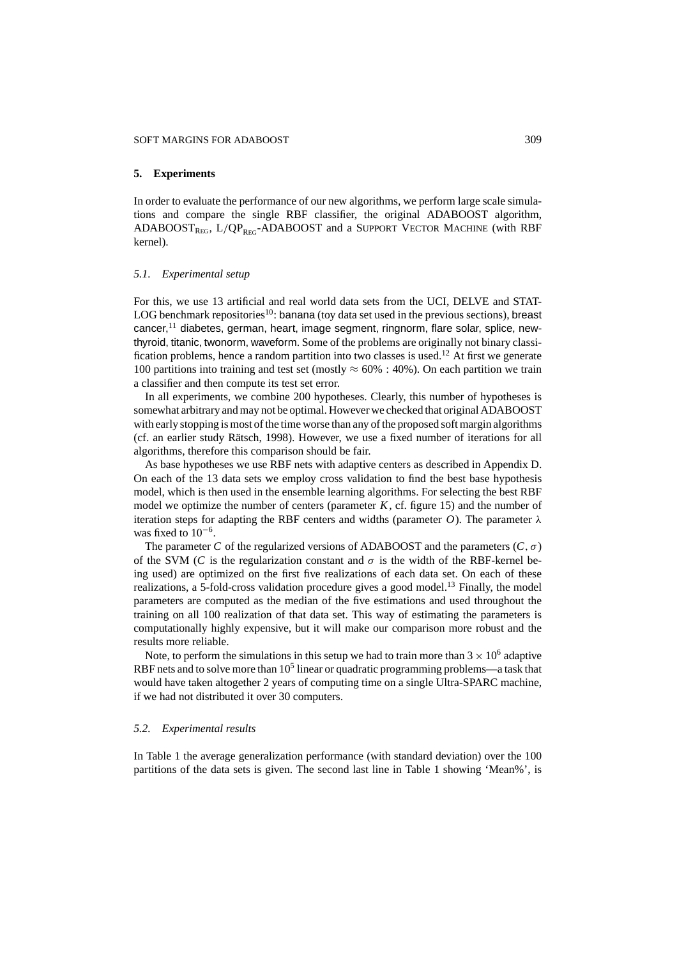#### **5. Experiments**

In order to evaluate the performance of our new algorithms, we perform large scale simulations and compare the single RBF classifier, the original ADABOOST algorithm, ADABOOST<sub>REG</sub>,  $L/QP_{REG}$ -ADABOOST and a SUPPORT VECTOR MACHINE (with RBF kernel).

# *5.1. Experimental setup*

For this, we use 13 artificial and real world data sets from the UCI, DELVE and STAT-LOG benchmark repositories<sup>10</sup>: banana (toy data set used in the previous sections), breast cancer, $<sup>11</sup>$  diabetes, german, heart, image segment, ringnorm, flare solar, splice, new-</sup> thyroid, titanic, twonorm, waveform. Some of the problems are originally not binary classification problems, hence a random partition into two classes is used.<sup>12</sup> At first we generate 100 partitions into training and test set (mostly  $\approx 60\%$  : 40%). On each partition we train a classifier and then compute its test set error.

In all experiments, we combine 200 hypotheses. Clearly, this number of hypotheses is somewhat arbitrary and may not be optimal. However we checked that original ADABOOST with early stopping is most of the time worse than any of the proposed soft margin algorithms (cf. an earlier study Rätsch, 1998). However, we use a fixed number of iterations for all algorithms, therefore this comparison should be fair.

As base hypotheses we use RBF nets with adaptive centers as described in Appendix D. On each of the 13 data sets we employ cross validation to find the best base hypothesis model, which is then used in the ensemble learning algorithms. For selecting the best RBF model we optimize the number of centers (parameter  $K$ , cf. figure 15) and the number of iteration steps for adapting the RBF centers and widths (parameter *O*). The parameter λ was fixed to  $10^{-6}$ .

The parameter *C* of the regularized versions of ADABOOST and the parameters  $(C, \sigma)$ of the SVM (*C* is the regularization constant and  $\sigma$  is the width of the RBF-kernel being used) are optimized on the first five realizations of each data set. On each of these realizations, a 5-fold-cross validation procedure gives a good model.<sup>13</sup> Finally, the model parameters are computed as the median of the five estimations and used throughout the training on all 100 realization of that data set. This way of estimating the parameters is computationally highly expensive, but it will make our comparison more robust and the results more reliable.

Note, to perform the simulations in this setup we had to train more than  $3 \times 10^6$  adaptive RBF nets and to solve more than  $10<sup>5</sup>$  linear or quadratic programming problems—a task that would have taken altogether 2 years of computing time on a single Ultra-SPARC machine, if we had not distributed it over 30 computers.

#### *5.2. Experimental results*

In Table 1 the average generalization performance (with standard deviation) over the 100 partitions of the data sets is given. The second last line in Table 1 showing 'Mean%', is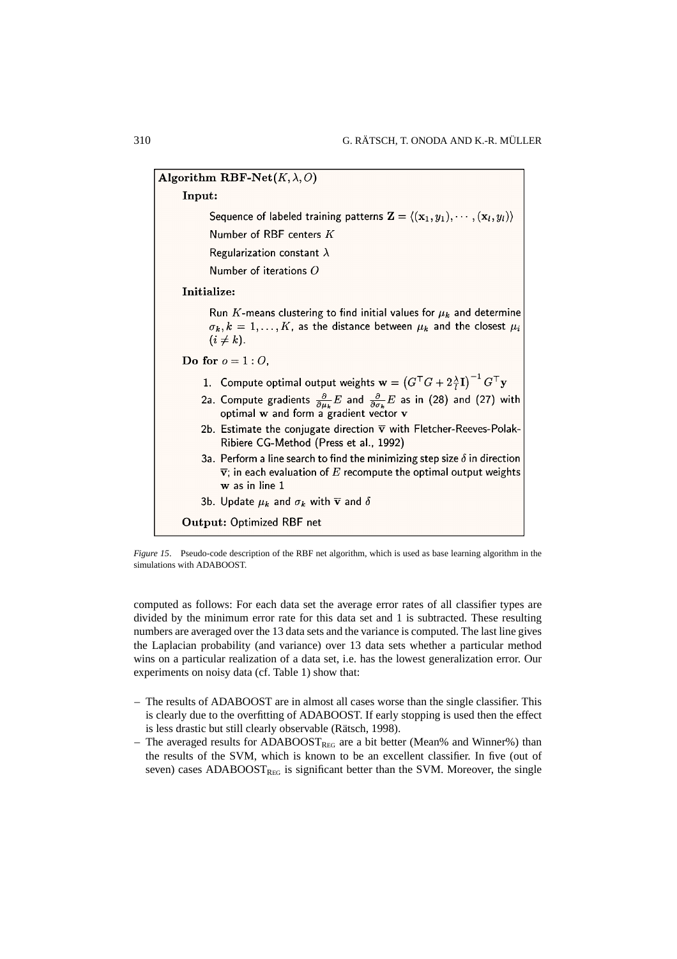Algorithm RBF-Net $(K, \lambda, O)$ Input: Sequence of labeled training patterns  $\mathbf{Z} = \langle (\mathbf{x}_1, y_1), \cdots, (\mathbf{x}_l, y_l) \rangle$ Number of RBF centers K Regularization constant  $\lambda$ Number of iterations O Initialize: Run K-means clustering to find initial values for  $\mu_k$  and determine  $\sigma_k, k = 1, \ldots, K$ , as the distance between  $\mu_k$  and the closest  $\mu_i$  $(i \neq k)$ . Do for  $o = 1:0$ , 1. Compute optimal output weights  $\mathbf{w} = (G^{\top}G + 2\frac{\lambda}{I}\mathbf{I})^{-1}G^{\top}\mathbf{y}$ 2a. Compute gradients  $\frac{\partial}{\partial \mu_k} E$  and  $\frac{\partial}{\partial \sigma_k} E$  as in (28) and (27) with optimal w and form a gradient vector v 2b. Estimate the conjugate direction  $\overline{\mathbf{v}}$  with Fletcher-Reeves-Polak-Ribiere CG-Method (Press et al., 1992) 3a. Perform a line search to find the minimizing step size  $\delta$  in direction  $\overline{\mathbf{v}}$ ; in each evaluation of E recompute the optimal output weights w as in line 1 3b. Update  $\mu_k$  and  $\sigma_k$  with  $\overline{v}$  and  $\delta$ **Output: Optimized RBF net** 

*Figure 15*. Pseudo-code description of the RBF net algorithm, which is used as base learning algorithm in the simulations with ADABOOST.

computed as follows: For each data set the average error rates of all classifier types are divided by the minimum error rate for this data set and 1 is subtracted. These resulting numbers are averaged over the 13 data sets and the variance is computed. The last line gives the Laplacian probability (and variance) over 13 data sets whether a particular method wins on a particular realization of a data set, i.e. has the lowest generalization error. Our experiments on noisy data (cf. Table 1) show that:

- The results of ADABOOST are in almost all cases worse than the single classifier. This is clearly due to the overfitting of ADABOOST. If early stopping is used then the effect is less drastic but still clearly observable (Rätsch, 1998).
- The averaged results for ADABOOST<sub>REG</sub> are a bit better (Mean% and Winner%) than the results of the SVM, which is known to be an excellent classifier. In five (out of seven) cases ADABOOST<sub>REG</sub> is significant better than the SVM. Moreover, the single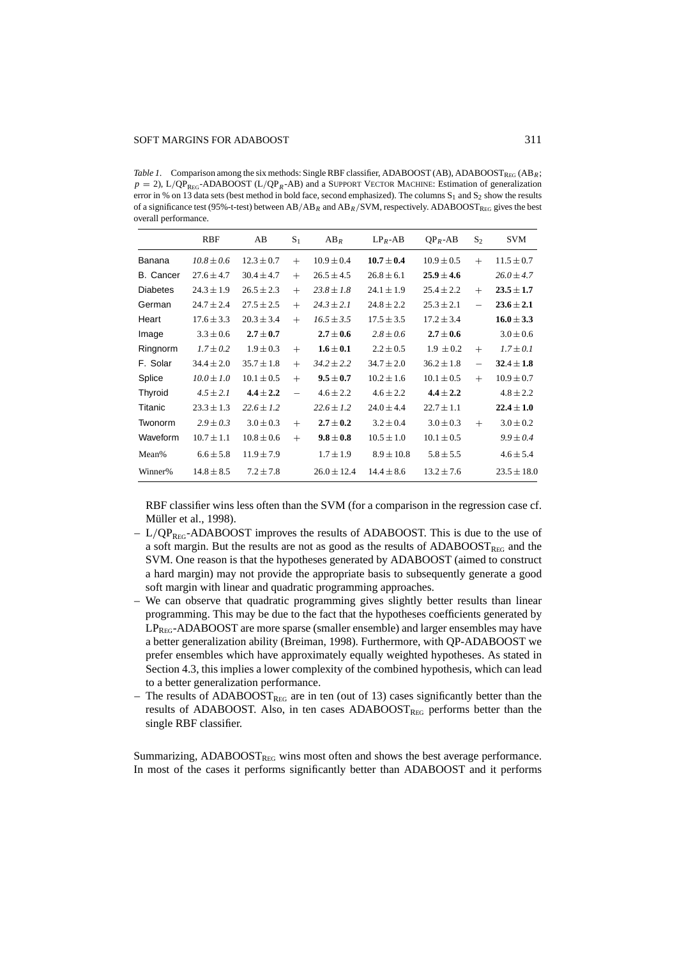*Table 1*. Comparison among the six methods: Single RBF classifier, ADABOOST (AB), ADABOOST<sub>REG</sub> (AB<sub>R</sub>;  $p = 2$ ), L/QP<sub>REG</sub>-ADABOOST (L/QP<sub>R</sub>-AB) and a SUPPORT VECTOR MACHINE: Estimation of generalization error in % on 13 data sets (best method in bold face, second emphasized). The columns  $S_1$  and  $S_2$  show the results of a significance test (95%-t-test) between  $AB/AB_R$  and  $AB_R/SVM$ , respectively. ADABOOST<sub>REG</sub> gives the best overall performance.

|                  | <b>RBF</b>     | AB             | $S_1$    | $AB_R$          | $LP_R$ -AB     | $QP_R$ -AB     | $S_2$                    | <b>SVM</b>      |
|------------------|----------------|----------------|----------|-----------------|----------------|----------------|--------------------------|-----------------|
| Banana           | $10.8 \pm 0.6$ | $12.3 \pm 0.7$ | $+$      | $10.9 \pm 0.4$  | $10.7 \pm 0.4$ | $10.9 \pm 0.5$ | $+$                      | $11.5 \pm 0.7$  |
| <b>B.</b> Cancer | $27.6 \pm 4.7$ | $30.4 \pm 4.7$ | $+$      | $26.5 \pm 4.5$  | $26.8 \pm 6.1$ | $25.9 \pm 4.6$ |                          | $26.0 \pm 4.7$  |
| <b>Diabetes</b>  | $24.3 \pm 1.9$ | $26.5 \pm 2.3$ | $+$      | $23.8 \pm 1.8$  | $24.1 \pm 1.9$ | $25.4 \pm 2.2$ | $+$                      | $23.5 \pm 1.7$  |
| German           | $24.7 \pm 2.4$ | $27.5 \pm 2.5$ | $+$      | $24.3 \pm 2.1$  | $24.8 \pm 2.2$ | $25.3 \pm 2.1$ |                          | $23.6 \pm 2.1$  |
| Heart            | $17.6 \pm 3.3$ | $20.3 \pm 3.4$ | $+$      | $16.5 \pm 3.5$  | $17.5 \pm 3.5$ | $17.2 \pm 3.4$ |                          | $16.0 \pm 3.3$  |
| Image            | $3.3 \pm 0.6$  | $2.7 \pm 0.7$  |          | $2.7 \pm 0.6$   | $2.8 \pm 0.6$  | $2.7 \pm 0.6$  |                          | $3.0 \pm 0.6$   |
| Ringnorm         | $1.7 \pm 0.2$  | $1.9 \pm 0.3$  | $+$      | $1.6 \pm 0.1$   | $2.2 \pm 0.5$  | $1.9 \pm 0.2$  | $+$                      | $1.7 \pm 0.1$   |
| F. Solar         | $34.4 \pm 2.0$ | $35.7 \pm 1.8$ | $^{+}$   | $34.2 \pm 2.2$  | $34.7 \pm 2.0$ | $36.2 \pm 1.8$ | $\overline{\phantom{m}}$ | $32.4 \pm 1.8$  |
| Splice           | $10.0 \pm 1.0$ | $10.1 \pm 0.5$ | $+$      | $9.5 \pm 0.7$   | $10.2 \pm 1.6$ | $10.1 \pm 0.5$ | $^{+}$                   | $10.9 \pm 0.7$  |
| Thyroid          | $4.5 \pm 2.1$  | $4.4 \pm 2.2$  | $\equiv$ | $4.6 \pm 2.2$   | $4.6 \pm 2.2$  | $4.4 \pm 2.2$  |                          | $4.8 \pm 2.2$   |
| Titanic          | $23.3 \pm 1.3$ | $22.6 \pm 1.2$ |          | $22.6 \pm 1.2$  | $24.0 \pm 4.4$ | $22.7 \pm 1.1$ |                          | $22.4 \pm 1.0$  |
| Twonorm          | $2.9 \pm 0.3$  | $3.0 \pm 0.3$  | $+$      | $2.7 \pm 0.2$   | $3.2 \pm 0.4$  | $3.0 \pm 0.3$  | $+$                      | $3.0 \pm 0.2$   |
| Waveform         | $10.7 \pm 1.1$ | $10.8 \pm 0.6$ | $+$      | $9.8 \pm 0.8$   | $10.5 \pm 1.0$ | $10.1 \pm 0.5$ |                          | $9.9 \pm 0.4$   |
| Mean%            | $6.6 \pm 5.8$  | $11.9 \pm 7.9$ |          | $1.7 \pm 1.9$   | $8.9 \pm 10.8$ | $5.8 \pm 5.5$  |                          | $4.6 \pm 5.4$   |
| Winner%          | $14.8 \pm 8.5$ | $7.2 \pm 7.8$  |          | $26.0 \pm 12.4$ | $14.4 \pm 8.6$ | $13.2 \pm 7.6$ |                          | $23.5 \pm 18.0$ |

RBF classifier wins less often than the SVM (for a comparison in the regression case cf. Müller et al., 1998).

- $L/QP_{P_{EG}}$ -ADABOOST improves the results of ADABOOST. This is due to the use of a soft margin. But the results are not as good as the results of  $ADABOOST<sub>REG</sub>$  and the SVM. One reason is that the hypotheses generated by ADABOOST (aimed to construct a hard margin) may not provide the appropriate basis to subsequently generate a good soft margin with linear and quadratic programming approaches.
- We can observe that quadratic programming gives slightly better results than linear programming. This may be due to the fact that the hypotheses coefficients generated by LP<sub>REG</sub>-ADABOOST are more sparse (smaller ensemble) and larger ensembles may have a better generalization ability (Breiman, 1998). Furthermore, with QP-ADABOOST we prefer ensembles which have approximately equally weighted hypotheses. As stated in Section 4.3, this implies a lower complexity of the combined hypothesis, which can lead to a better generalization performance.
- The results of ADABOOST<sub>REG</sub> are in ten (out of 13) cases significantly better than the results of ADABOOST. Also, in ten cases  $ADABOOST<sub>REG</sub>$  performs better than the single RBF classifier.

Summarizing,  $ADABOOST<sub>REG</sub>$  wins most often and shows the best average performance. In most of the cases it performs significantly better than ADABOOST and it performs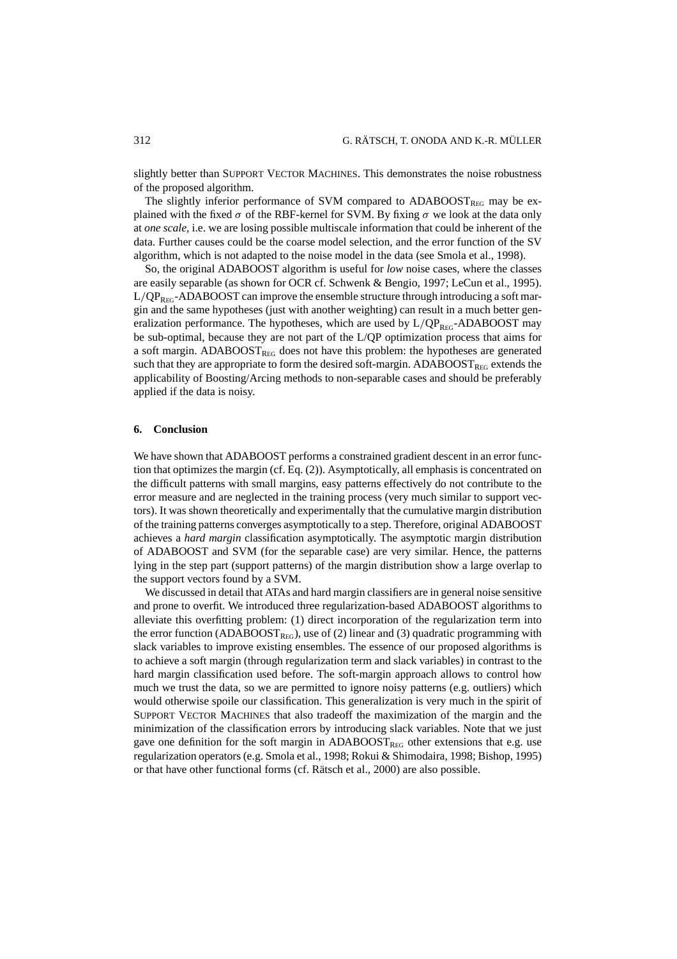slightly better than SUPPORT VECTOR MACHINES. This demonstrates the noise robustness of the proposed algorithm.

The slightly inferior performance of SVM compared to  $ADABOOST<sub>REG</sub>$  may be explained with the fixed  $\sigma$  of the RBF-kernel for SVM. By fixing  $\sigma$  we look at the data only at *one scale*, i.e. we are losing possible multiscale information that could be inherent of the data. Further causes could be the coarse model selection, and the error function of the SV algorithm, which is not adapted to the noise model in the data (see Smola et al., 1998).

So, the original ADABOOST algorithm is useful for *low* noise cases, where the classes are easily separable (as shown for OCR cf. Schwenk & Bengio, 1997; LeCun et al., 1995).  $L/QP_{REG}$ -ADABOOST can improve the ensemble structure through introducing a soft margin and the same hypotheses (just with another weighting) can result in a much better generalization performance. The hypotheses, which are used by  $L/QP_{REG}$ -ADABOOST may be sub-optimal, because they are not part of the L/QP optimization process that aims for a soft margin. ADABOOST $_{\text{REG}}$  does not have this problem: the hypotheses are generated such that they are appropriate to form the desired soft-margin. ADABOOST $_{REG}$  extends the applicability of Boosting/Arcing methods to non-separable cases and should be preferably applied if the data is noisy.

# **6. Conclusion**

We have shown that ADABOOST performs a constrained gradient descent in an error function that optimizes the margin (cf. Eq. (2)). Asymptotically, all emphasis is concentrated on the difficult patterns with small margins, easy patterns effectively do not contribute to the error measure and are neglected in the training process (very much similar to support vectors). It was shown theoretically and experimentally that the cumulative margin distribution of the training patterns converges asymptotically to a step. Therefore, original ADABOOST achieves a *hard margin* classification asymptotically. The asymptotic margin distribution of ADABOOST and SVM (for the separable case) are very similar. Hence, the patterns lying in the step part (support patterns) of the margin distribution show a large overlap to the support vectors found by a SVM.

We discussed in detail that ATAs and hard margin classifiers are in general noise sensitive and prone to overfit. We introduced three regularization-based ADABOOST algorithms to alleviate this overfitting problem: (1) direct incorporation of the regularization term into the error function (ADABOOST<sub>REG</sub>), use of (2) linear and (3) quadratic programming with slack variables to improve existing ensembles. The essence of our proposed algorithms is to achieve a soft margin (through regularization term and slack variables) in contrast to the hard margin classification used before. The soft-margin approach allows to control how much we trust the data, so we are permitted to ignore noisy patterns (e.g. outliers) which would otherwise spoile our classification. This generalization is very much in the spirit of SUPPORT VECTOR MACHINES that also tradeoff the maximization of the margin and the minimization of the classification errors by introducing slack variables. Note that we just gave one definition for the soft margin in  $ADABOOST_{REG}$  other extensions that e.g. use regularization operators (e.g. Smola et al., 1998; Rokui & Shimodaira, 1998; Bishop, 1995) or that have other functional forms (cf. Rätsch et al., 2000) are also possible.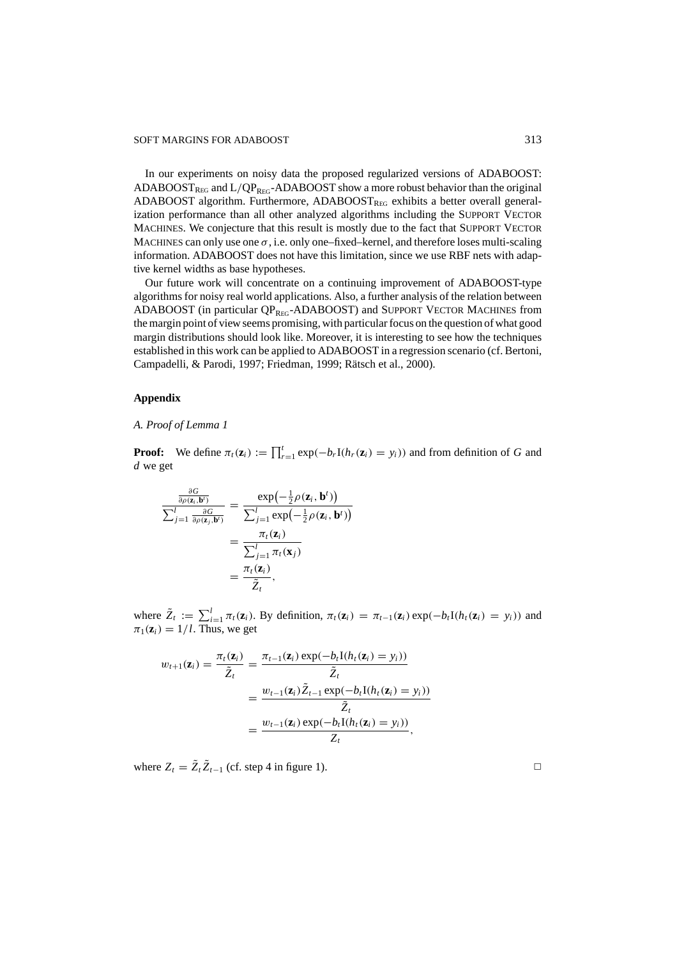In our experiments on noisy data the proposed regularized versions of ADABOOST: ADABOOST<sub>REG</sub> and L/QP<sub>REG</sub>-ADABOOST show a more robust behavior than the original ADABOOST algorithm. Furthermore, ADABOOST<sub>REG</sub> exhibits a better overall generalization performance than all other analyzed algorithms including the SUPPORT VECTOR MACHINES. We conjecture that this result is mostly due to the fact that SUPPORT VECTOR MACHINES can only use one  $\sigma$ , i.e. only one–fixed–kernel, and therefore loses multi-scaling information. ADABOOST does not have this limitation, since we use RBF nets with adaptive kernel widths as base hypotheses.

Our future work will concentrate on a continuing improvement of ADABOOST-type algorithms for noisy real world applications. Also, a further analysis of the relation between ADABOOST (in particular QPREG-ADABOOST) and SUPPORT VECTOR MACHINES from the margin point of view seems promising, with particular focus on the question of what good margin distributions should look like. Moreover, it is interesting to see how the techniques established in this work can be applied to ADABOOST in a regression scenario (cf. Bertoni, Campadelli, & Parodi, 1997; Friedman, 1999; Rätsch et al., 2000).

# **Appendix**

*A. Proof of Lemma 1*

**Proof:** We define  $\pi_t(\mathbf{z}_i) := \prod_{r=1}^t \exp(-b_r I(h_r(\mathbf{z}_i) = y_i))$  and from definition of *G* and *d* we get

$$
\frac{\frac{\partial G}{\partial \rho(\mathbf{z}_i, \mathbf{b}^t)}}{\sum_{j=1}^l \frac{\partial G}{\partial \rho(\mathbf{z}_j, \mathbf{b}^t)}} = \frac{\exp(-\frac{1}{2}\rho(\mathbf{z}_i, \mathbf{b}^t))}{\sum_{j=1}^l \exp(-\frac{1}{2}\rho(\mathbf{z}_i, \mathbf{b}^t))}
$$

$$
= \frac{\pi_t(\mathbf{z}_i)}{\sum_{j=1}^l \pi_t(\mathbf{x}_j)}
$$

$$
= \frac{\pi_t(\mathbf{z}_i)}{\tilde{Z}_t},
$$

where  $\tilde{Z}_t := \sum_{i=1}^l \pi_t(\mathbf{z}_i)$ . By definition,  $\pi_t(\mathbf{z}_i) = \pi_{t-1}(\mathbf{z}_i) \exp(-b_t I(h_t(\mathbf{z}_i) = y_i))$  and  $\pi_1(\mathbf{z}_i) = 1/l$ . Thus, we get

$$
w_{t+1}(\mathbf{z}_i) = \frac{\pi_t(\mathbf{z}_i)}{\tilde{Z}_t} = \frac{\pi_{t-1}(\mathbf{z}_i) \exp(-b_t \mathbf{I}(h_t(\mathbf{z}_i) = y_i))}{\tilde{Z}_t}
$$
  
= 
$$
\frac{w_{t-1}(\mathbf{z}_i) \tilde{Z}_{t-1} \exp(-b_t \mathbf{I}(h_t(\mathbf{z}_i) = y_i))}{\tilde{Z}_t}
$$
  
= 
$$
\frac{w_{t-1}(\mathbf{z}_i) \exp(-b_t \mathbf{I}(h_t(\mathbf{z}_i) = y_i))}{Z_t},
$$

where  $Z_t = \tilde{Z}_t \tilde{Z}_{t-1}$  (cf. step 4 in figure 1).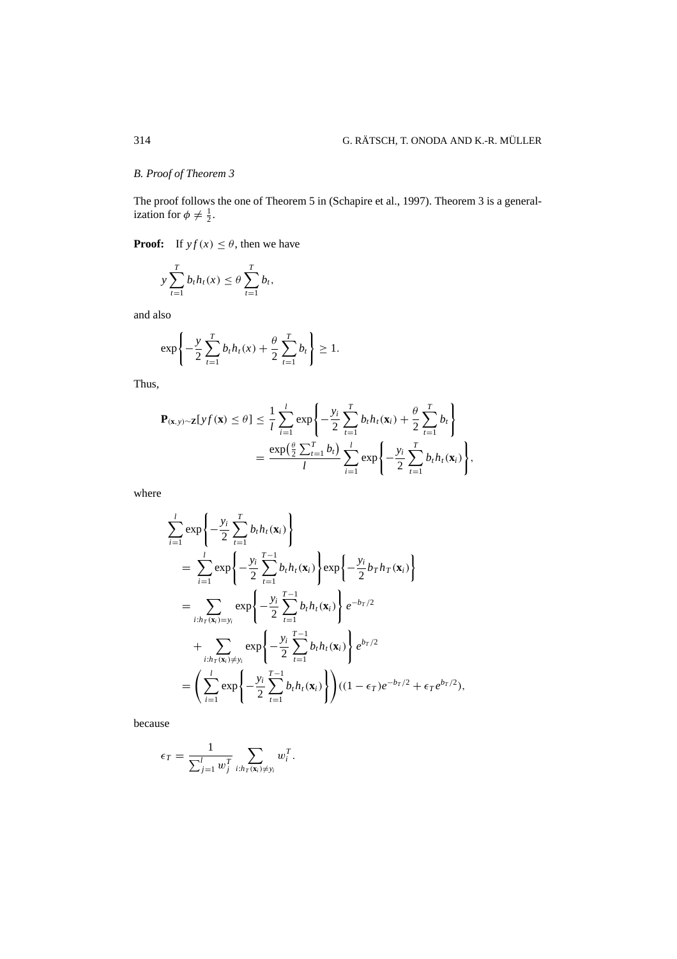# *B. Proof of Theorem 3*

The proof follows the one of Theorem 5 in (Schapire et al., 1997). Theorem 3 is a generalization for  $\phi \neq \frac{1}{2}$ .

**Proof:** If  $y f(x) \le \theta$ , then we have

$$
y\sum_{t=1}^T b_t h_t(x) \leq \theta \sum_{t=1}^T b_t,
$$

and also

$$
\exp\left\{-\frac{y}{2}\sum_{t=1}^{T}b_{t}h_{t}(x)+\frac{\theta}{2}\sum_{t=1}^{T}b_{t}\right\}\geq 1.
$$

Thus,

$$
\mathbf{P}_{(\mathbf{x},y)\sim\mathbf{Z}}[yf(\mathbf{x}) \leq \theta] \leq \frac{1}{l} \sum_{i=1}^{l} \exp\left\{-\frac{y_i}{2} \sum_{t=1}^{T} b_t h_t(\mathbf{x}_i) + \frac{\theta}{2} \sum_{t=1}^{T} b_t\right\}
$$

$$
= \frac{\exp(\frac{\theta}{2} \sum_{t=1}^{T} b_t)}{l} \sum_{i=1}^{l} \exp\left\{-\frac{y_i}{2} \sum_{t=1}^{T} b_t h_t(\mathbf{x}_i)\right\},
$$

where

$$
\sum_{i=1}^{l} \exp \left\{ -\frac{y_i}{2} \sum_{t=1}^{T} b_t h_t(\mathbf{x}_i) \right\}
$$
\n
$$
= \sum_{i=1}^{l} \exp \left\{ -\frac{y_i}{2} \sum_{t=1}^{T-1} b_t h_t(\mathbf{x}_i) \right\} \exp \left\{ -\frac{y_i}{2} b_T h_T(\mathbf{x}_i) \right\}
$$
\n
$$
= \sum_{i:h_T(\mathbf{x}_i) = y_i} \exp \left\{ -\frac{y_i}{2} \sum_{t=1}^{T-1} b_t h_t(\mathbf{x}_i) \right\} e^{-b_T/2}
$$
\n
$$
+ \sum_{i:h_T(\mathbf{x}_i) \neq y_i} \exp \left\{ -\frac{y_i}{2} \sum_{t=1}^{T-1} b_t h_t(\mathbf{x}_i) \right\} e^{b_T/2}
$$
\n
$$
= \left( \sum_{i=1}^{l} \exp \left\{ -\frac{y_i}{2} \sum_{t=1}^{T-1} b_t h_t(\mathbf{x}_i) \right\} \right) ((1 - \epsilon_T) e^{-b_T/2} + \epsilon_T e^{b_T/2}),
$$

because

$$
\epsilon_T = \frac{1}{\sum_{j=1}^l w_j^T} \sum_{i: h_T(\mathbf{x}_i) \neq y_i} w_i^T.
$$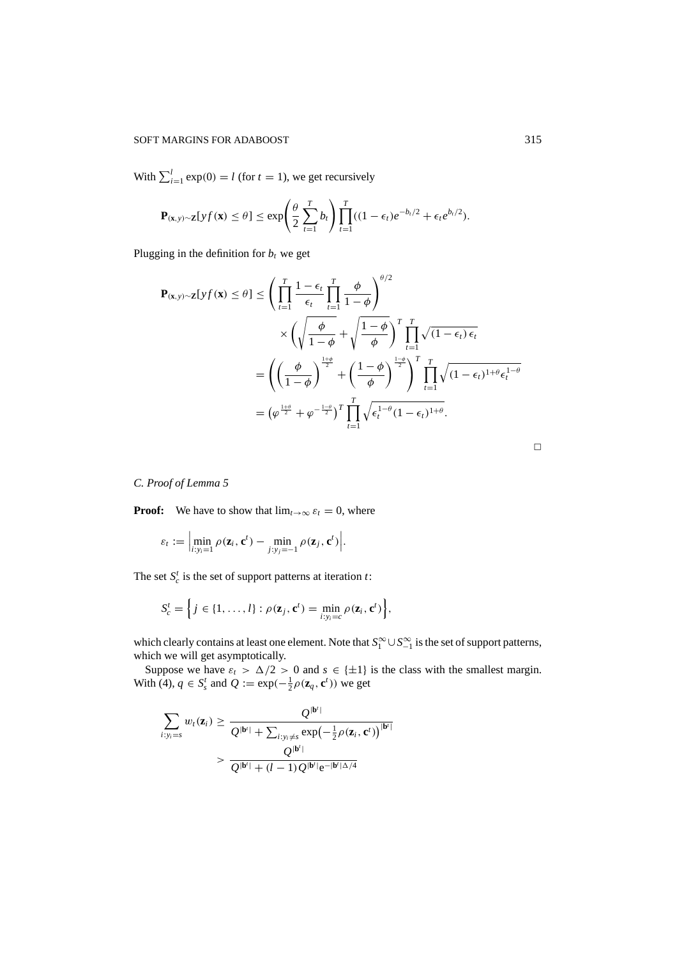With  $\sum_{i=1}^{l} \exp(0) = l$  (for  $t = 1$ ), we get recursively

$$
\mathbf{P}_{(\mathbf{x},y)\sim\mathbf{Z}}[yf(\mathbf{x}) \leq \theta] \leq \exp\left(\frac{\theta}{2}\sum_{t=1}^T b_t\right) \prod_{t=1}^T ((1-\epsilon_t)e^{-b_t/2} + \epsilon_t e^{b_t/2}).
$$

Plugging in the definition for  $b_t$  we get

$$
\mathbf{P}_{(\mathbf{x},y)\sim\mathbf{Z}}[yf(\mathbf{x}) \leq \theta] \leq \left(\prod_{t=1}^{T} \frac{1-\epsilon_{t}}{\epsilon_{t}} \prod_{t=1}^{T} \frac{\phi}{1-\phi}\right)^{\theta/2} \times \left(\sqrt{\frac{\phi}{1-\phi}} + \sqrt{\frac{1-\phi}{\phi}}\right)^{T} \prod_{t=1}^{T} \sqrt{(1-\epsilon_{t}) \epsilon_{t}}
$$

$$
= \left(\left(\frac{\phi}{1-\phi}\right)^{\frac{1+\phi}{2}} + \left(\frac{1-\phi}{\phi}\right)^{\frac{1-\phi}{2}}\right)^{T} \prod_{t=1}^{T} \sqrt{(1-\epsilon_{t})^{1+\theta} \epsilon_{t}^{1-\theta}}
$$

$$
= (\varphi^{\frac{1+\theta}{2}} + \varphi^{-\frac{1-\theta}{2}})^{T} \prod_{t=1}^{T} \sqrt{\epsilon_{t}^{1-\theta}(1-\epsilon_{t})^{1+\theta}}.
$$

*C. Proof of Lemma 5*

**Proof:** We have to show that  $\lim_{t\to\infty} \varepsilon_t = 0$ , where

$$
\varepsilon_t := \Big|\min_{i:y_i=1} \rho(\mathbf{z}_i, \mathbf{c}^t) - \min_{j:y_j=-1} \rho(\mathbf{z}_j, \mathbf{c}^t)\Big|.
$$

The set  $S_c^t$  is the set of support patterns at iteration  $t$ :

$$
S_c^t = \left\{ j \in \{1, \ldots, l\} : \rho(\mathbf{z}_j, \mathbf{c}^t) = \min_{i: y_i = c} \rho(\mathbf{z}_i, \mathbf{c}^t) \right\},\
$$

which clearly contains at least one element. Note that  $S_1^{\infty} \cup S_{-1}^{\infty}$  is the set of support patterns, which we will get asymptotically.

Suppose we have  $\varepsilon_t > \Delta/2 > 0$  and  $s \in \{\pm 1\}$  is the class with the smallest margin. With (4),  $q \in S_s^t$  and  $Q := \exp(-\frac{1}{2}\rho(\mathbf{z}_q, \mathbf{c}^t))$  we get

$$
\sum_{i:y_i=s} w_t(\mathbf{z}_i) \geq \frac{Q^{|\mathbf{b}^i|}}{Q^{|\mathbf{b}^i|} + \sum_{i:y_i\neq s} \exp(-\frac{1}{2}\rho(\mathbf{z}_i, \mathbf{c}^t))^{|\mathbf{b}^i|}}
$$

$$
> \frac{Q^{|\mathbf{b}^i|}}{Q^{|\mathbf{b}^i|} + (l-1)Q^{|\mathbf{b}^i|}e^{-|\mathbf{b}^i|\Delta/4}}
$$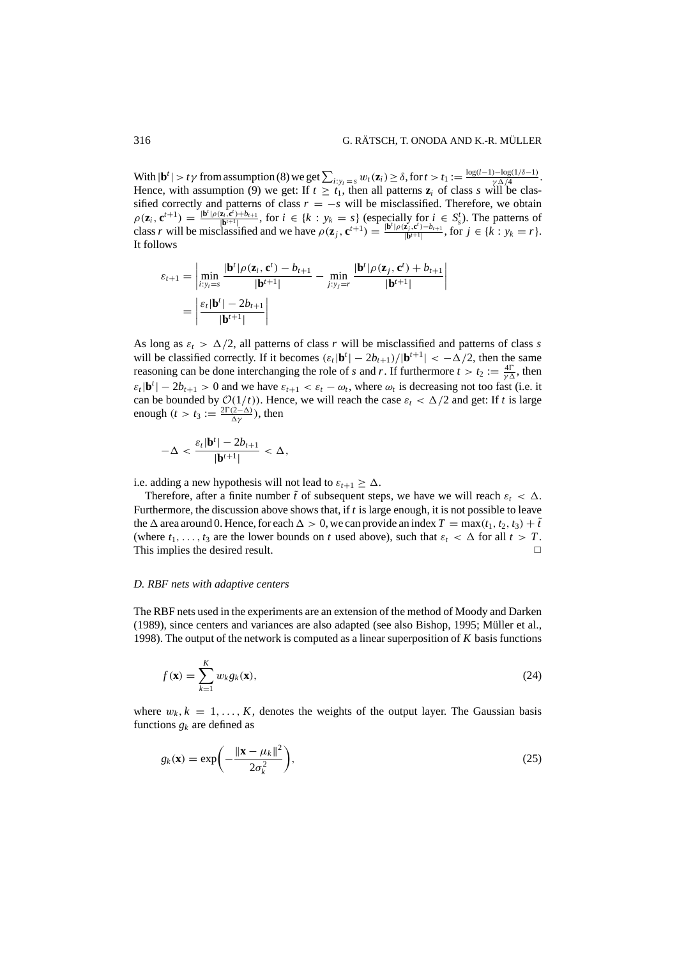With  $|\mathbf{b}^t| > t\gamma$  from assumption (8) we get  $\sum_{i:y_i=s} w_t(\mathbf{z}_i) \geq \delta$ , for  $t > t_1 := \frac{\log(l-1)-\log(1/\delta-1)}{\gamma \Delta/4}$ . Hence, with assumption (9) we get: If  $t \geq t_1$ , then all patterns  $z_i$  of class *s* will be classified correctly and patterns of class  $r = -s$  will be misclassified. Therefore, we obtain  $\rho(\mathbf{z}_i, \mathbf{c}^{t+1}) = \frac{|\mathbf{b}'| \rho(\mathbf{z}_i, \mathbf{c}') + b_{t+1}}{|\mathbf{b}^{t+1}|},$  for  $i \in \{k : y_k = s\}$  (especially for  $i \in S_s^t$ ). The patterns of class r will be misclassified and we have  $\rho(\mathbf{z}_j, \mathbf{c}^{t+1}) = \frac{|\mathbf{b}'| \rho(\mathbf{z}_j, \mathbf{c}^t) - b_{t+1}}{|\mathbf{b}^{t+1}|},$  for  $j \in \{k : y_k = r\}.$ It follows

$$
\varepsilon_{t+1} = \left| \min_{i:y_i=s} \frac{|\mathbf{b}^t| \rho(\mathbf{z}_i, \mathbf{c}^t) - b_{t+1}}{|\mathbf{b}^{t+1}|} - \min_{j:y_j=r} \frac{|\mathbf{b}^t| \rho(\mathbf{z}_j, \mathbf{c}^t) + b_{t+1}}{|\mathbf{b}^{t+1}|} \right|
$$

$$
= \left| \frac{\varepsilon_t |\mathbf{b}^t| - 2b_{t+1}}{|\mathbf{b}^{t+1}|} \right|
$$

As long as  $\varepsilon_t > \Delta/2$ , all patterns of class *r* will be misclassified and patterns of class *s* will be classified correctly. If it becomes  $(\varepsilon_t|\mathbf{b}^t| - 2b_{t+1})/|\mathbf{b}^{t+1}| < -\Delta/2$ , then the same reasoning can be done interchanging the role of *s* and *r*. If furthermore  $t > t_2 := \frac{4\Gamma}{\gamma \Delta}$ , then  $\varepsilon_t$ **|b**<sup>*t*</sup>| − 2*b*<sub>*t*+1</sub> > 0 and we have  $\varepsilon_{t+1} < \varepsilon_t - \omega_t$ , where  $\omega_t$  is decreasing not too fast (i.e. it can be bounded by  $O(1/t)$ ). Hence, we will reach the case  $\varepsilon_t < \Delta/2$  and get: If *t* is large enough  $(t > t_3 := \frac{2\Gamma(2-\Delta)}{\Delta\gamma}$ ), then

$$
-\Delta < \frac{\varepsilon_t |\mathbf{b}^t| - 2b_{t+1}}{|\mathbf{b}^{t+1}|} < \Delta,
$$

i.e. adding a new hypothesis will not lead to  $\varepsilon_{t+1} > \Delta$ .

Therefore, after a finite number  $\tilde{t}$  of subsequent steps, we have we will reach  $\varepsilon_t < \Delta$ . Furthermore, the discussion above shows that, if *t* is large enough, it is not possible to leave the  $\Delta$  area around 0. Hence, for each  $\Delta > 0$ , we can provide an index  $T = \max(t_1, t_2, t_3) + \tilde{t}$ (where  $t_1, \ldots, t_3$  are the lower bounds on *t* used above), such that  $\varepsilon_t < \Delta$  for all  $t > T$ . This implies the desired result.  $\Box$ 

#### *D. RBF nets with adaptive centers*

The RBF nets used in the experiments are an extension of the method of Moody and Darken (1989), since centers and variances are also adapted (see also Bishop, 1995; M¨uller et al., 1998). The output of the network is computed as a linear superposition of *K* basis functions

$$
f(\mathbf{x}) = \sum_{k=1}^{K} w_k g_k(\mathbf{x}),
$$
\n(24)

where  $w_k$ ,  $k = 1, \ldots, K$ , denotes the weights of the output layer. The Gaussian basis functions  $g_k$  are defined as

$$
g_k(\mathbf{x}) = \exp\left(-\frac{\|\mathbf{x} - \mu_k\|^2}{2\sigma_k^2}\right),\tag{25}
$$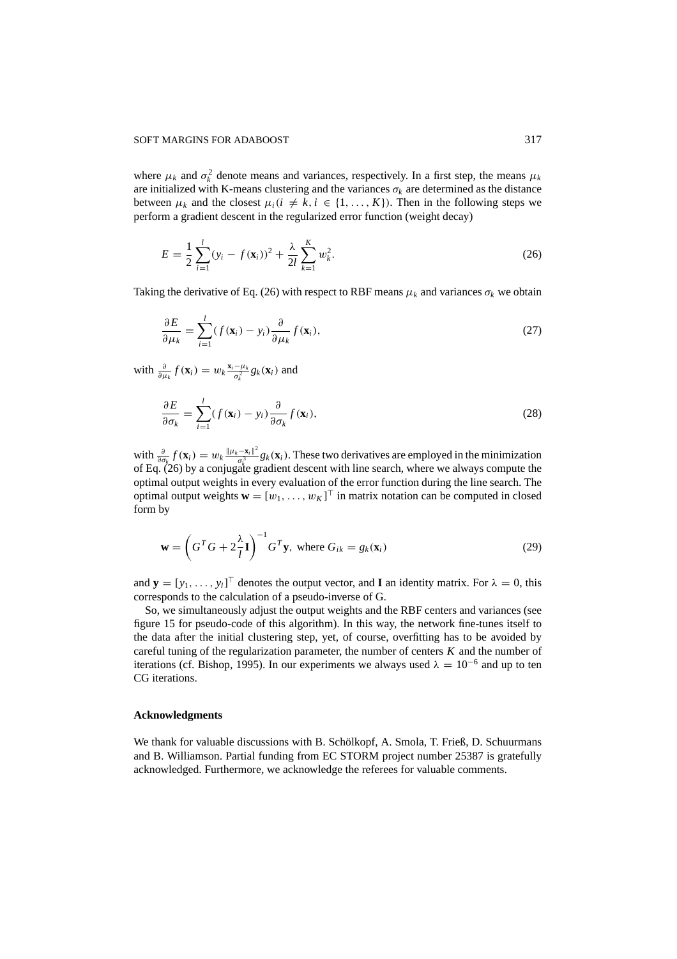#### SOFT MARGINS FOR ADABOOST 317

where  $\mu_k$  and  $\sigma_k^2$  denote means and variances, respectively. In a first step, the means  $\mu_k$ are initialized with K-means clustering and the variances  $\sigma_k$  are determined as the distance between  $\mu_k$  and the closest  $\mu_i$  ( $i \neq k$ ,  $i \in \{1, ..., K\}$ ). Then in the following steps we perform a gradient descent in the regularized error function (weight decay)

$$
E = \frac{1}{2} \sum_{i=1}^{l} (y_i - f(\mathbf{x}_i))^2 + \frac{\lambda}{2l} \sum_{k=1}^{K} w_k^2.
$$
 (26)

Taking the derivative of Eq. (26) with respect to RBF means  $\mu_k$  and variances  $\sigma_k$  we obtain

$$
\frac{\partial E}{\partial \mu_k} = \sum_{i=1}^l (f(\mathbf{x}_i) - y_i) \frac{\partial}{\partial \mu_k} f(\mathbf{x}_i),
$$
\n(27)

with  $\frac{\partial}{\partial \mu_k} f(\mathbf{x}_i) = w_k \frac{\mathbf{x}_i - \mu_k}{\sigma_k^2} g_k(\mathbf{x}_i)$  and

$$
\frac{\partial E}{\partial \sigma_k} = \sum_{i=1}^l (f(\mathbf{x}_i) - y_i) \frac{\partial}{\partial \sigma_k} f(\mathbf{x}_i),
$$
\n(28)

 $\text{with } \frac{\partial}{\partial \sigma_k} f(\mathbf{x}_i) = w_k \frac{\|\mu_k - \mathbf{x}_i\|^2}{\sigma_k^3}$  $\frac{-\mathbf{x}_i - \mathbf{x}_j}{\sigma_s^2} g_k(\mathbf{x}_i)$ . These two derivatives are employed in the minimization of Eq. (26) by a conjugate gradient descent with line search, where we always compute the optimal output weights in every evaluation of the error function during the line search. The optimal output weights  $\mathbf{w} = [w_1, \dots, w_K]^\top$  in matrix notation can be computed in closed form by

$$
\mathbf{w} = \left(G^T G + 2\frac{\lambda}{l}\mathbf{I}\right)^{-1} G^T \mathbf{y}, \text{ where } G_{ik} = g_k(\mathbf{x}_i) \tag{29}
$$

and  $\mathbf{y} = [y_1, \dots, y_l]^\top$  denotes the output vector, and **I** an identity matrix. For  $\lambda = 0$ , this corresponds to the calculation of a pseudo-inverse of G.

So, we simultaneously adjust the output weights and the RBF centers and variances (see figure 15 for pseudo-code of this algorithm). In this way, the network fine-tunes itself to the data after the initial clustering step, yet, of course, overfitting has to be avoided by careful tuning of the regularization parameter, the number of centers *K* and the number of iterations (cf. Bishop, 1995). In our experiments we always used  $\lambda = 10^{-6}$  and up to ten CG iterations.

## **Acknowledgments**

We thank for valuable discussions with B. Schölkopf, A. Smola, T. Frieß, D. Schuurmans and B. Williamson. Partial funding from EC STORM project number 25387 is gratefully acknowledged. Furthermore, we acknowledge the referees for valuable comments.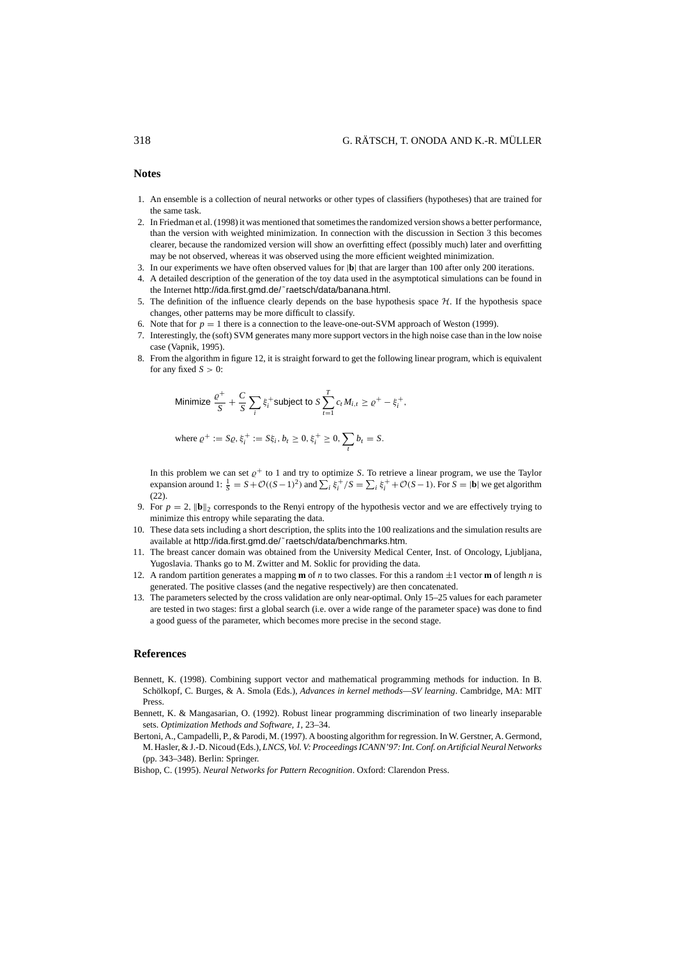**Notes**

- 1. An ensemble is a collection of neural networks or other types of classifiers (hypotheses) that are trained for the same task.
- 2. In Friedman et al. (1998) it was mentioned that sometimes the randomized version shows a better performance, than the version with weighted minimization. In connection with the discussion in Section 3 this becomes clearer, because the randomized version will show an overfitting effect (possibly much) later and overfitting may be not observed, whereas it was observed using the more efficient weighted minimization.
- 3. In our experiments we have often observed values for |**b**| that are larger than 100 after only 200 iterations.
- 4. A detailed description of the generation of the toy data used in the asymptotical simulations can be found in the Internet http://ida.first.gmd.de/˜raetsch/data/banana.html.
- 5. The definition of the influence clearly depends on the base hypothesis space  $H$ . If the hypothesis space changes, other patterns may be more difficult to classify.
- 6. Note that for  $p = 1$  there is a connection to the leave-one-out-SVM approach of Weston (1999).
- 7. Interestingly, the (soft) SVM generates many more support vectors in the high noise case than in the low noise case (Vapnik, 1995).
- 8. From the algorithm in figure 12, it is straight forward to get the following linear program, which is equivalent for any fixed  $S > 0$ :

Minimize 
$$
\frac{\varrho^+}{S} + \frac{C}{S} \sum_i \xi_i^+
$$
 subject to  $S \sum_{t=1}^T c_t M_{i,t} \ge \varrho^+ - \xi_i^+$ ,

where 
$$
\varrho^+ := S\varrho, \xi_i^+ := S\xi_i, b_t \ge 0, \xi_i^+ \ge 0, \sum_t b_t = S.
$$

In this problem we can set  $\rho^+$  to 1 and try to optimize *S*. To retrieve a linear program, we use the Taylor expansion around 1:  $\frac{1}{S} = S + \mathcal{O}((S-1)^2)$  and  $\sum_i \xi_i^+/S = \sum_i \xi_i^+ + \mathcal{O}(S-1)$ . For  $S = |\mathbf{b}|$  we get algorithm (22).

- 9. For  $p = 2$ ,  $\|\mathbf{b}\|_2$  corresponds to the Renyi entropy of the hypothesis vector and we are effectively trying to minimize this entropy while separating the data.
- 10. These data sets including a short description, the splits into the 100 realizations and the simulation results are available at http://ida.first.gmd.de/˜raetsch/data/benchmarks.htm.
- 11. The breast cancer domain was obtained from the University Medical Center, Inst. of Oncology, Ljubljana, Yugoslavia. Thanks go to M. Zwitter and M. Soklic for providing the data.
- 12. A random partition generates a mapping **m** of *n* to two classes. For this a random ±1 vector **m** of length *n* is generated. The positive classes (and the negative respectively) are then concatenated.
- 13. The parameters selected by the cross validation are only near-optimal. Only 15–25 values for each parameter are tested in two stages: first a global search (i.e. over a wide range of the parameter space) was done to find a good guess of the parameter, which becomes more precise in the second stage.

#### **References**

- Bennett, K. (1998). Combining support vector and mathematical programming methods for induction. In B. Schölkopf, C. Burges, & A. Smola (Eds.), *Advances in kernel methods—SV learning*. Cambridge, MA: MIT Press.
- Bennett, K. & Mangasarian, O. (1992). Robust linear programming discrimination of two linearly inseparable sets. *Optimization Methods and Software, 1*, 23–34.
- Bertoni, A., Campadelli, P., & Parodi, M. (1997). A boosting algorithm for regression. In W. Gerstner, A. Germond, M. Hasler, & J.-D. Nicoud (Eds.), *LNCS, Vol. V: Proceedings ICANN'97: Int. Conf. on Artificial Neural Networks* (pp. 343–348). Berlin: Springer.
- Bishop, C. (1995). *Neural Networks for Pattern Recognition*. Oxford: Clarendon Press.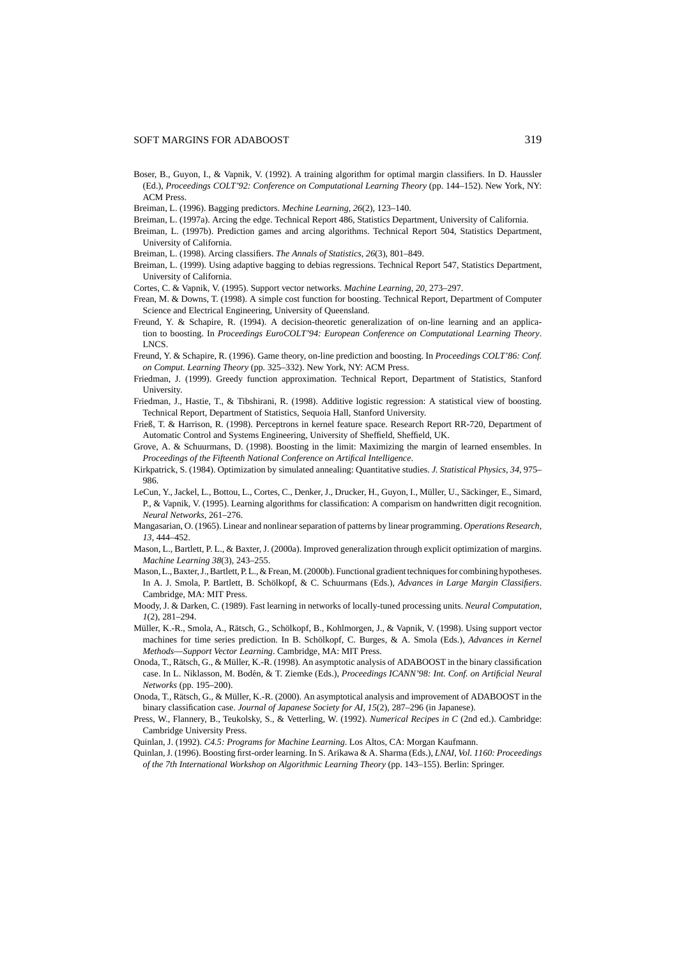#### SOFT MARGINS FOR ADABOOST 319

- Boser, B., Guyon, I., & Vapnik, V. (1992). A training algorithm for optimal margin classifiers. In D. Haussler (Ed.), *Proceedings COLT'92: Conference on Computational Learning Theory* (pp. 144–152). New York, NY: ACM Press.
- Breiman, L. (1996). Bagging predictors. *Mechine Learning, 26*(2), 123–140.
- Breiman, L. (1997a). Arcing the edge. Technical Report 486, Statistics Department, University of California.
- Breiman, L. (1997b). Prediction games and arcing algorithms. Technical Report 504, Statistics Department, University of California.
- Breiman, L. (1998). Arcing classifiers. *The Annals of Statistics, 26*(3), 801–849.
- Breiman, L. (1999). Using adaptive bagging to debias regressions. Technical Report 547, Statistics Department, University of California.
- Cortes, C. & Vapnik, V. (1995). Support vector networks. *Machine Learning, 20*, 273–297.
- Frean, M. & Downs, T. (1998). A simple cost function for boosting. Technical Report, Department of Computer Science and Electrical Engineering, University of Queensland.
- Freund, Y. & Schapire, R. (1994). A decision-theoretic generalization of on-line learning and an application to boosting. In *Proceedings EuroCOLT'94: European Conference on Computational Learning Theory*. LNCS.
- Freund, Y. & Schapire, R. (1996). Game theory, on-line prediction and boosting. In *Proceedings COLT'86: Conf. on Comput. Learning Theory* (pp. 325–332). New York, NY: ACM Press.
- Friedman, J. (1999). Greedy function approximation. Technical Report, Department of Statistics, Stanford **University.**
- Friedman, J., Hastie, T., & Tibshirani, R. (1998). Additive logistic regression: A statistical view of boosting. Technical Report, Department of Statistics, Sequoia Hall, Stanford University.
- Frieß, T. & Harrison, R. (1998). Perceptrons in kernel feature space. Research Report RR-720, Department of Automatic Control and Systems Engineering, University of Sheffield, Sheffield, UK.
- Grove, A. & Schuurmans, D. (1998). Boosting in the limit: Maximizing the margin of learned ensembles. In *Proceedings of the Fifteenth National Conference on Artifical Intelligence*.
- Kirkpatrick, S. (1984). Optimization by simulated annealing: Quantitative studies. *J. Statistical Physics, 34*, 975– 986.
- LeCun, Y., Jackel, L., Bottou, L., Cortes, C., Denker, J., Drucker, H., Guyon, I., Müller, U., Säckinger, E., Simard, P., & Vapnik, V. (1995). Learning algorithms for classification: A comparism on handwritten digit recognition. *Neural Networks*, 261–276.
- Mangasarian, O. (1965). Linear and nonlinear separation of patterns by linear programming. *Operations Research, 13*, 444–452.
- Mason, L., Bartlett, P. L., & Baxter, J. (2000a). Improved generalization through explicit optimization of margins. *Machine Learning 38*(3), 243–255.
- Mason, L., Baxter, J., Bartlett, P. L., & Frean, M. (2000b). Functional gradient techniques for combining hypotheses. In A. J. Smola, P. Bartlett, B. Schölkopf, & C. Schuurmans (Eds.), *Advances in Large Margin Classifiers*. Cambridge, MA: MIT Press.
- Moody, J. & Darken, C. (1989). Fast learning in networks of locally-tuned processing units. *Neural Computation, 1*(2), 281–294.
- Müller, K.-R., Smola, A., Rätsch, G., Schölkopf, B., Kohlmorgen, J., & Vapnik, V. (1998). Using support vector machines for time series prediction. In B. Schölkopf, C. Burges, & A. Smola (Eds.), *Advances in Kernel Methods*—*Support Vector Learning*. Cambridge, MA: MIT Press.
- Onoda, T., Rätsch, G., & Müller, K.-R. (1998). An asymptotic analysis of ADABOOST in the binary classification case. In L. Niklasson, M. Bod´en, & T. Ziemke (Eds.), *Proceedings ICANN'98: Int. Conf. on Artificial Neural Networks* (pp. 195–200).
- Onoda, T., Rätsch, G., & Müller, K.-R. (2000). An asymptotical analysis and improvement of ADABOOST in the binary classification case. *Journal of Japanese Society for AI, 15*(2), 287–296 (in Japanese).
- Press, W., Flannery, B., Teukolsky, S., & Vetterling, W. (1992). *Numerical Recipes in C* (2nd ed.). Cambridge: Cambridge University Press.
- Quinlan, J. (1992). *C4.5: Programs for Machine Learning*. Los Altos, CA: Morgan Kaufmann.
- Quinlan, J. (1996). Boosting first-order learning. In S. Arikawa & A. Sharma (Eds.), *LNAI, Vol. 1160: Proceedings of the 7th International Workshop on Algorithmic Learning Theory* (pp. 143–155). Berlin: Springer.